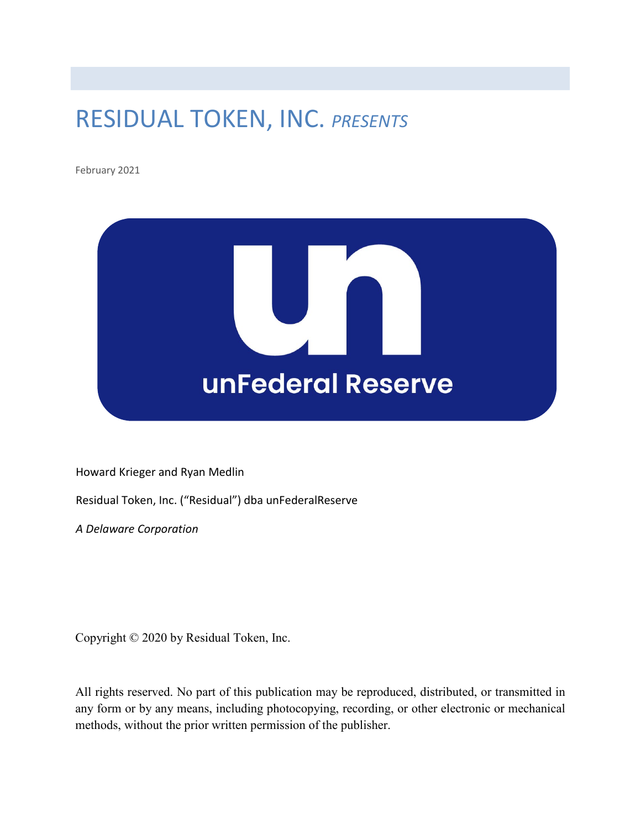## RESIDUAL TOKEN, INC. *PRESENTS*

February 2021



Howard Krieger and Ryan Medlin

Residual Token, Inc. ("Residual") dba unFederalReserve

*A Delaware Corporation*

Copyright © 2020 by Residual Token, Inc.

All rights reserved. No part of this publication may be reproduced, distributed, or transmitted in any form or by any means, including photocopying, recording, or other electronic or mechanical methods, without the prior written permission of the publisher.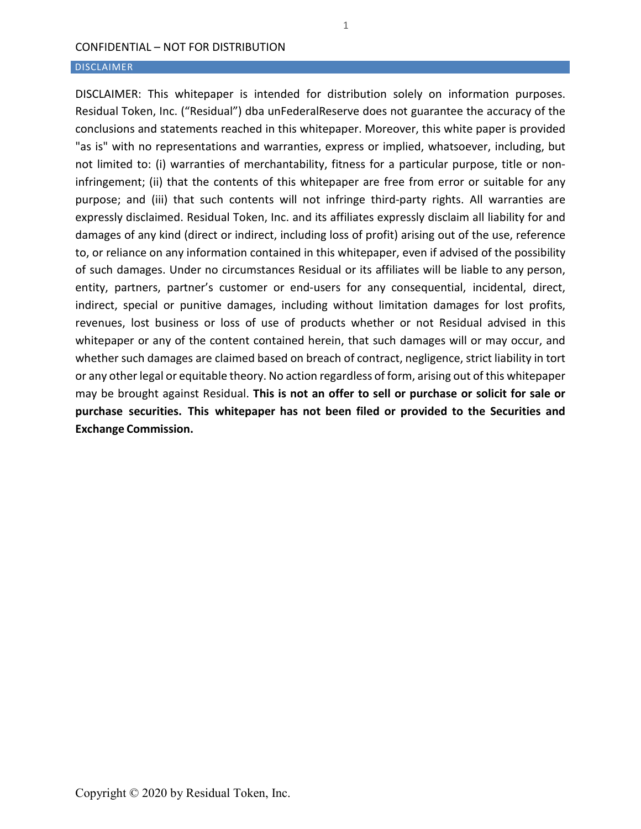#### DISCLAIMER

DISCLAIMER: This whitepaper is intended for distribution solely on information purposes. Residual Token, Inc. ("Residual") dba unFederalReserve does not guarantee the accuracy of the conclusions and statements reached in this whitepaper. Moreover, this white paper is provided "as is" with no representations and warranties, express or implied, whatsoever, including, but not limited to: (i) warranties of merchantability, fitness for a particular purpose, title or noninfringement; (ii) that the contents of this whitepaper are free from error or suitable for any purpose; and (iii) that such contents will not infringe third-party rights. All warranties are expressly disclaimed. Residual Token, Inc. and its affiliates expressly disclaim all liability for and damages of any kind (direct or indirect, including loss of profit) arising out of the use, reference to, or reliance on any information contained in this whitepaper, even if advised of the possibility of such damages. Under no circumstances Residual or its affiliates will be liable to any person, entity, partners, partner's customer or end-users for any consequential, incidental, direct, indirect, special or punitive damages, including without limitation damages for lost profits, revenues, lost business or loss of use of products whether or not Residual advised in this whitepaper or any of the content contained herein, that such damages will or may occur, and whether such damages are claimed based on breach of contract, negligence, strict liability in tort or any other legal or equitable theory. No action regardless of form, arising out of this whitepaper may be brought against Residual. **This is not an offer to sell or purchase or solicit for sale or purchase securities. This whitepaper has not been filed or provided to the Securities and Exchange Commission.**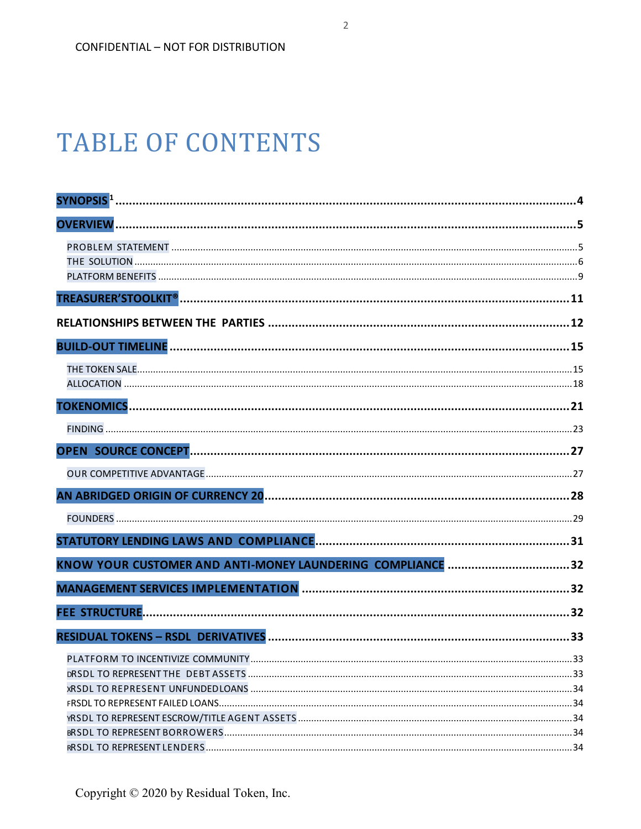# **TABLE OF CONTENTS**

| SYNOPSIS <sup>1</sup>                                      |    |
|------------------------------------------------------------|----|
|                                                            |    |
|                                                            |    |
|                                                            |    |
|                                                            |    |
|                                                            |    |
|                                                            |    |
|                                                            |    |
|                                                            |    |
|                                                            |    |
|                                                            |    |
|                                                            |    |
|                                                            |    |
|                                                            |    |
|                                                            |    |
|                                                            |    |
|                                                            |    |
| KNOW YOUR CUSTOMER AND ANTI-MONEY LAUNDERING COMPLIANCE 32 |    |
|                                                            |    |
|                                                            |    |
|                                                            | 33 |
| PLATFORM TO INCENTIVIZE COMMUNITY.                         | 33 |
|                                                            |    |
|                                                            |    |
|                                                            |    |
|                                                            |    |
|                                                            |    |
|                                                            |    |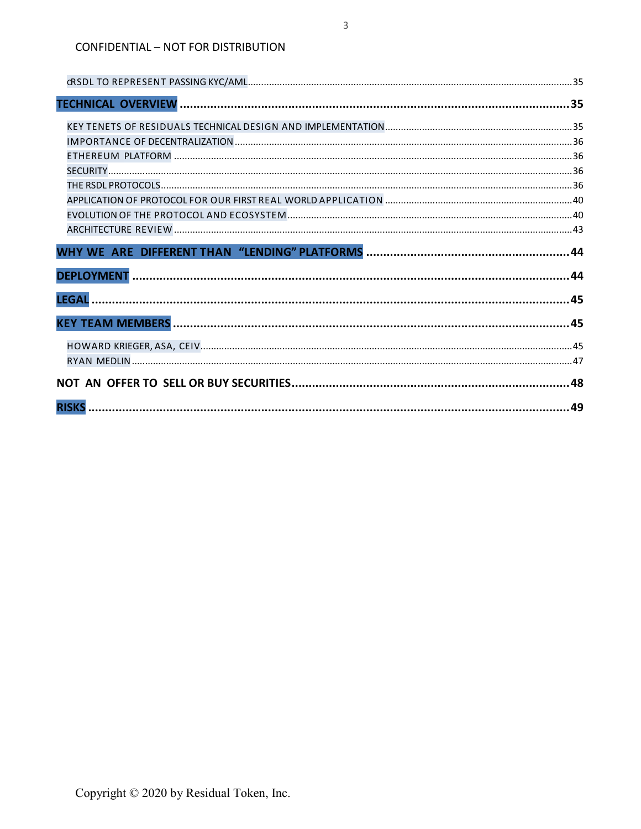| .44 |
|-----|
|     |
|     |
|     |
|     |
|     |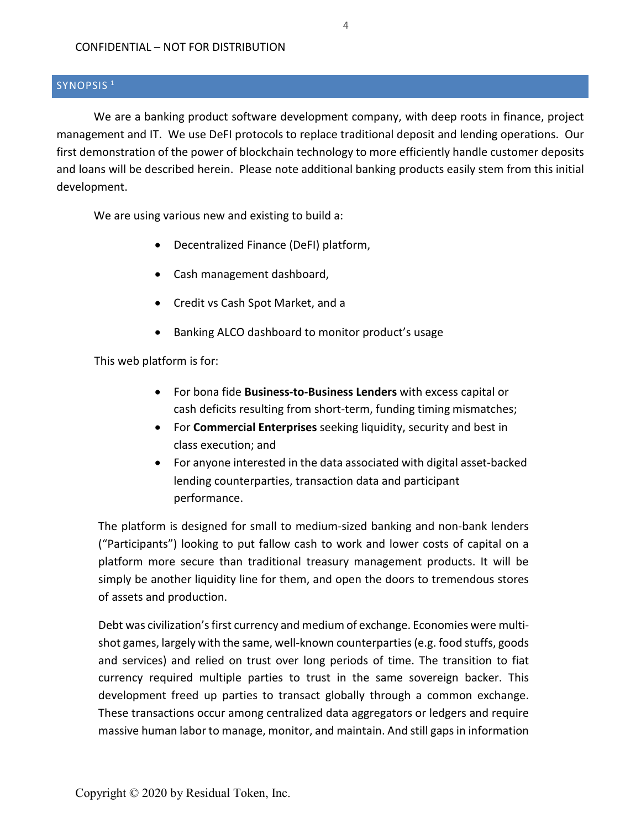## <span id="page-4-0"></span>SYNOPSIS<sup>[1](#page-5-2)</sup>

We are a banking product software development company, with deep roots in finance, project management and IT. We use DeFI protocols to replace traditional deposit and lending operations. Our first demonstration of the power of blockchain technology to more efficiently handle customer deposits and loans will be described herein. Please note additional banking products easily stem from this initial development.

We are using various new and existing to build a:

- Decentralized Finance (DeFI) platform,
- Cash management dashboard,
- Credit vs Cash Spot Market, and a
- Banking ALCO dashboard to monitor product's usage

This web platform is for:

- For bona fide **Business-to-Business Lenders** with excess capital or cash deficits resulting from short-term, funding timing mismatches;
- For **Commercial Enterprises** seeking liquidity, security and best in class execution; and
- For anyone interested in the data associated with digital asset-backed lending counterparties, transaction data and participant performance.

The platform is designed for small to medium-sized banking and non-bank lenders ("Participants") looking to put fallow cash to work and lower costs of capital on a platform more secure than traditional treasury management products. It will be simply be another liquidity line for them, and open the doors to tremendous stores of assets and production.

Debt was civilization's first currency and medium of exchange. Economies were multishot games, largely with the same, well-known counterparties (e.g. food stuffs, goods and services) and relied on trust over long periods of time. The transition to fiat currency required multiple parties to trust in the same sovereign backer. This development freed up parties to transact globally through a common exchange. These transactions occur among centralized data aggregators or ledgers and require massive human labor to manage, monitor, and maintain. And still gaps in information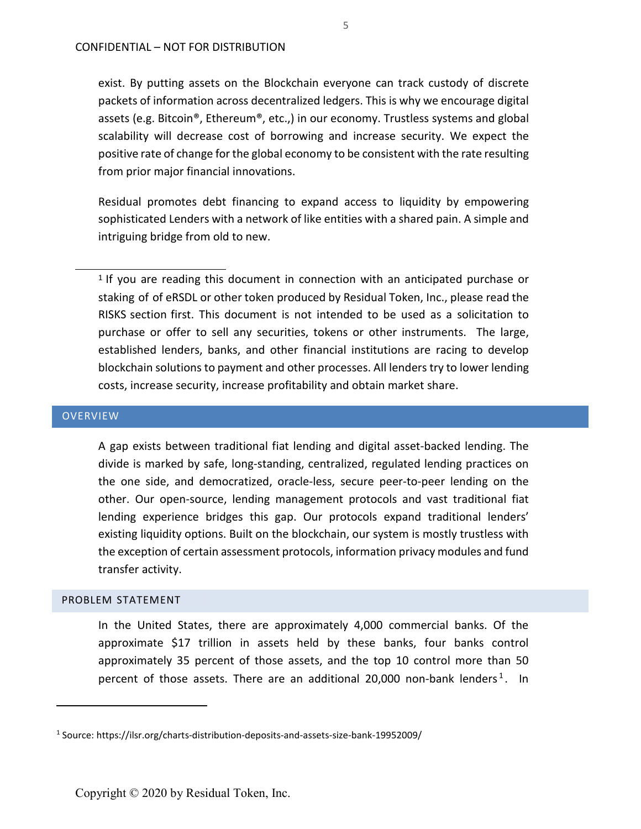exist. By putting assets on the Blockchain everyone can track custody of discrete packets of information across decentralized ledgers. This is why we encourage digital assets (e.g. Bitcoin<sup>®</sup>, Ethereum<sup>®</sup>, etc.,) in our economy. Trustless systems and global scalability will decrease cost of borrowing and increase security. We expect the positive rate of change for the global economy to be consistent with the rate resulting from prior major financial innovations.

Residual promotes debt financing to expand access to liquidity by empowering sophisticated Lenders with a network of like entities with a shared pain. A simple and intriguing bridge from old to new.

<span id="page-5-2"></span>1 If you are reading this document in connection with an anticipated purchase or staking of of eRSDL or other token produced by Residual Token, Inc., please read the RISKS section first. This document is not intended to be used as a solicitation to purchase or offer to sell any securities, tokens or other instruments. The large, established lenders, banks, and other financial institutions are racing to develop blockchain solutions to payment and other processes. All lenders try to lower lending costs, increase security, increase profitability and obtain market share.

#### <span id="page-5-0"></span>**OVERVIEW**

A gap exists between traditional fiat lending and digital asset-backed lending. The divide is marked by safe, long-standing, centralized, regulated lending practices on the one side, and democratized, oracle-less, secure peer-to-peer lending on the other. Our open-source, lending management protocols and vast traditional fiat lending experience bridges this gap. Our protocols expand traditional lenders' existing liquidity options. Built on the blockchain, our system is mostly trustless with the exception of certain assessment protocols, information privacy modules and fund transfer activity.

#### <span id="page-5-1"></span>PROBLEM STATEMENT

 $\overline{a}$ 

In the United States, there are approximately 4,000 commercial banks. Of the approximate \$17 trillion in assets held by these banks, four banks control approximately 35 percent of those assets, and the top 10 control more than 50 percent of those assets. There are an additional 20,000 non-bank lenders<sup>[1](#page-5-3)</sup>. In

<span id="page-5-3"></span><sup>1</sup> Source: https://ilsr.org/charts-distribution-deposits-and-assets-size-bank-19952009/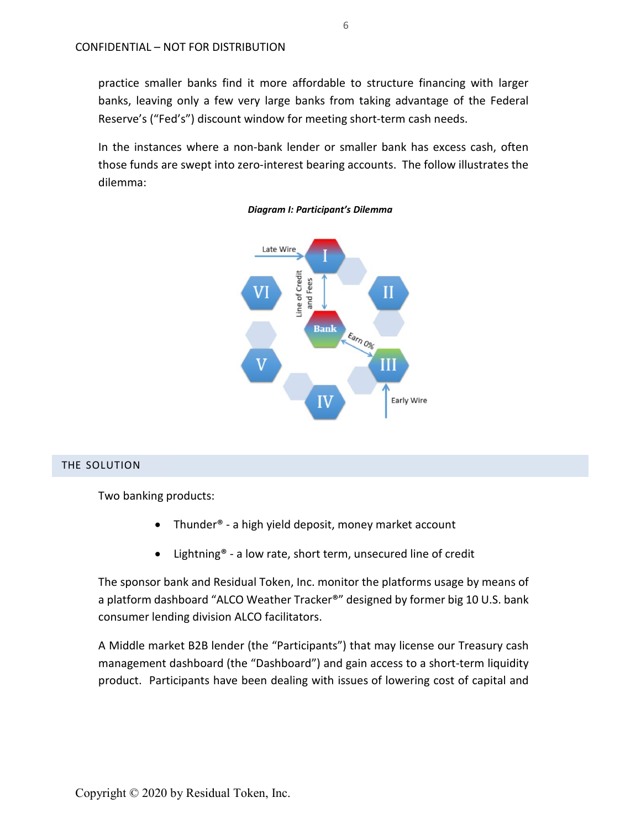practice smaller banks find it more affordable to structure financing with larger banks, leaving only a few very large banks from taking advantage of the Federal Reserve's ("Fed's") discount window for meeting short-term cash needs.

In the instances where a non-bank lender or smaller bank has excess cash, often those funds are swept into zero-interest bearing accounts. The follow illustrates the dilemma:





## <span id="page-6-0"></span>THE SOLUTION

Two banking products:

- Thunder® a high yield deposit, money market account
- Lightning® a low rate, short term, unsecured line of credit

The sponsor bank and Residual Token, Inc. monitor the platforms usage by means of a platform dashboard "ALCO Weather Tracker®" designed by former big 10 U.S. bank consumer lending division ALCO facilitators.

A Middle market B2B lender (the "Participants") that may license our Treasury cash management dashboard (the "Dashboard") and gain access to a short-term liquidity product. Participants have been dealing with issues of lowering cost of capital and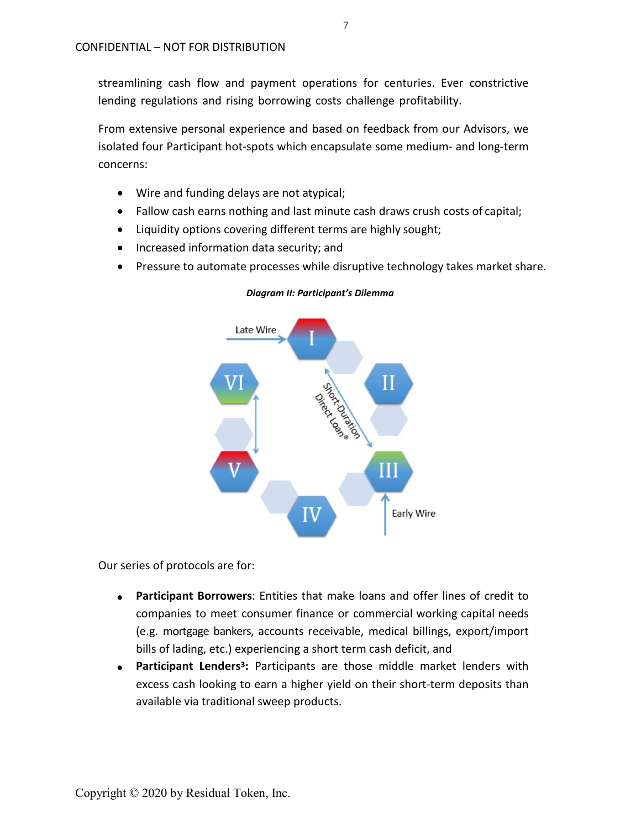streamlining cash flow and payment operations for centuries. Ever constrictive lending regulations and rising borrowing costs challenge profitability.

From extensive personal experience and based on feedback from our Advisors, we isolated four Participant hot-spots which encapsulate some medium- and long-term concerns:

- Wire and funding delays are not atypical;
- Fallow cash earns nothing and last minute cash draws crush costs of capital;
- Liquidity options covering different terms are highly sought;
- Increased information data security; and
- Pressure to automate processes while disruptive technology takes market share.



*Diagram II: Participant's Dilemma*

Our series of protocols are for:

- **Participant Borrowers**: Entities that make loans and offer lines of credit to companies to meet consumer finance or commercial working capital needs (e.g. mortgage bankers, accounts receivable, medical billings, export/import bills of lading, etc.) experiencing a short term cash deficit, and
- **Participant Lender[s3:](#page-10-0)** Participants are those middle market lenders with excess cash looking to earn a higher yield on their short-term deposits than available via traditional sweep products.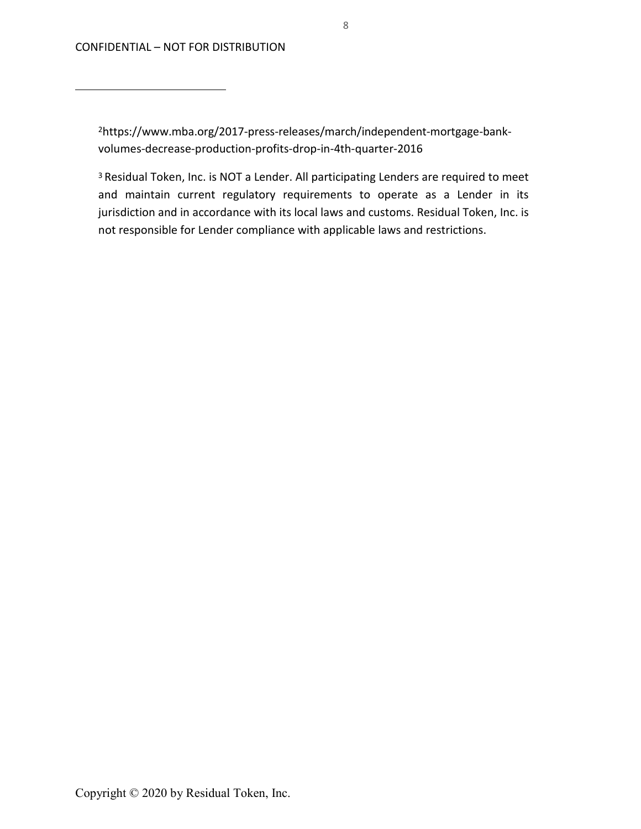2https:/[/www.mba.org/2017-press-releases/march/independent-mortgage-bank](http://www.mba.org/2017-press-releases/march/independent-mortgage-bank-)volumes-decrease-production-profits-drop-in-4th-quarter-2016

3 Residual Token, Inc. is NOT a Lender. All participating Lenders are required to meet and maintain current regulatory requirements to operate as a Lender in its jurisdiction and in accordance with its local laws and customs. Residual Token, Inc. is not responsible for Lender compliance with applicable laws and restrictions.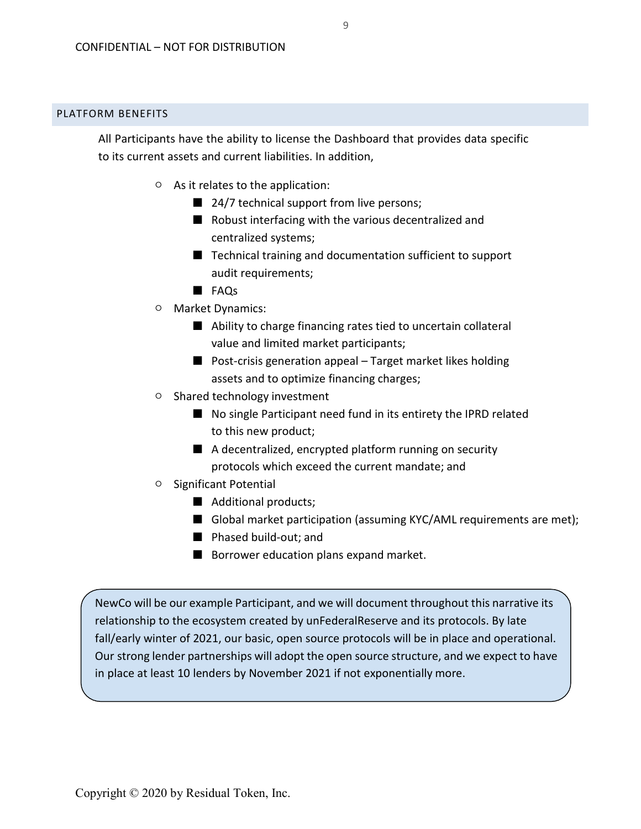## <span id="page-9-0"></span>PLATFORM BENEFITS

All Participants have the ability to license the Dashboard that provides data specific to its current assets and current liabilities. In addition,

- As it relates to the application:
	- 24/7 technical support from live persons;
	- Robust interfacing with the various decentralized and centralized systems;
	- Technical training and documentation sufficient to support audit requirements;
	- FAQs
- Market Dynamics:
	- Ability to charge financing rates tied to uncertain collateral value and limited market participants;
	- Post-crisis generation appeal Target market likes holding assets and to optimize financing charges;
- Shared technology investment
	- No single Participant need fund in its entirety the IPRD related to this new product;
	- A decentralized, encrypted platform running on security protocols which exceed the current mandate; and
- Significant Potential
	- Additional products;
	- Global market participation (assuming KYC/AML requirements are met);
	- Phased build-out; and
	- Borrower education plans expand market.

NewCo will be our example Participant, and we will document throughout this narrative its relationship to the ecosystem created by unFederalReserve and its protocols. By late fall/early winter of 2021, our basic, open source protocols will be in place and operational. Our strong lender partnerships will adopt the open source structure, and we expect to have in place at least 10 lenders by November 2021 if not exponentially more.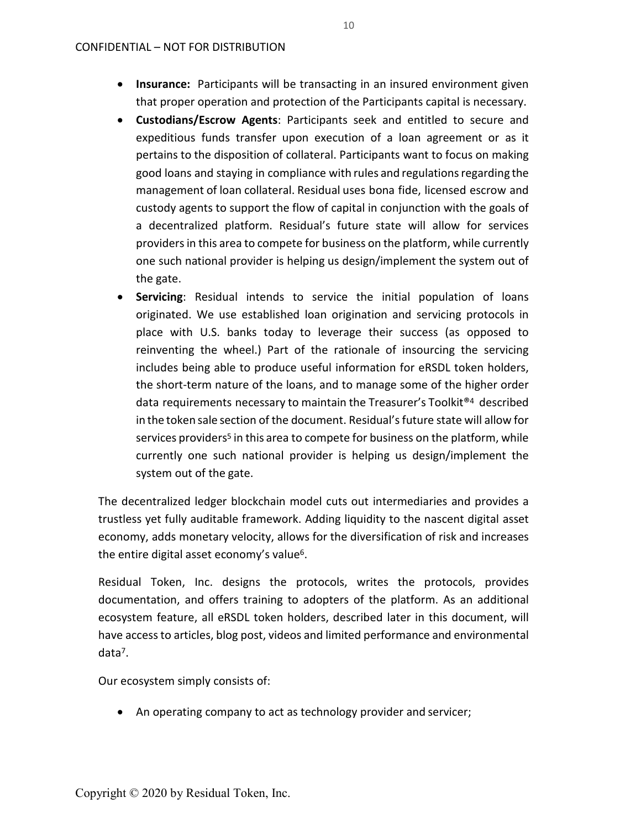- **Insurance:** Participants will be transacting in an insured environment given that proper operation and protection of the Participants capital is necessary.
- **Custodians/Escrow Agents**: Participants seek and entitled to secure and expeditious funds transfer upon execution of a loan agreement or as it pertains to the disposition of collateral. Participants want to focus on making good loans and staying in compliance with rules and regulationsregarding the management of loan collateral. Residual uses bona fide, licensed escrow and custody agents to support the flow of capital in conjunction with the goals of a decentralized platform. Residual's future state will allow for services providers in this area to compete for business on the platform, while currently one such national provider is helping us design/implement the system out of the gate.
- <span id="page-10-0"></span>• **Servicing**: Residual intends to service the initial population of loans originated. We use established loan origination and servicing protocols in place with U.S. banks today to leverage their success (as opposed to reinventing the wheel.) Part of the rationale of insourcing the servicing includes being able to produce useful information for eRSDL token holders, the short-term nature of the loans, and to manage some of the higher order data requirements necessary to maintain the Treasurer's Toolkit[®4](#page-12-1) described in the token sale section of the document. Residual'sfuture state will allow for services providers<sup>5</sup> in this area to compete for business on the platform, while currently one such national provider is helping us design/implement the system out of the gate.

The decentralized ledger blockchain model cuts out intermediaries and provides a trustless yet fully auditable framework. Adding liquidity to the nascent digital asset economy, adds monetary velocity, allows for the diversification of risk and increases the entire digital asset economy's valu[e6.](#page-13-0)

Residual Token, Inc. designs the protocols, writes the protocols, provides documentation, and offers training to adopters of the platform. As an additional ecosystem feature, all eRSDL token holders, described later in this document, will have access to articles, blog post, videos and limited performance and environmental dat[a7.](#page-12-3)

Our ecosystem simply consists of:

• An operating company to act as technology provider and servicer;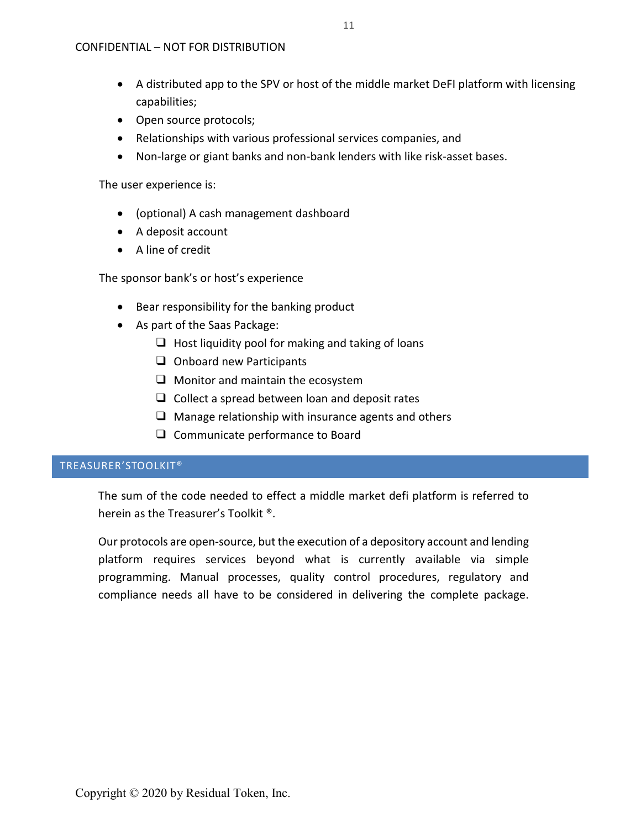- A distributed app to the SPV or host of the middle market DeFI platform with licensing capabilities;
- Open source protocols;
- Relationships with various professional services companies, and
- Non-large or giant banks and non-bank lenders with like risk-asset bases.

The user experience is:

- (optional) A cash management dashboard
- A deposit account
- A line of credit

The sponsor bank's or host's experience

- Bear responsibility for the banking product
- As part of the Saas Package:
	- $\Box$  Host liquidity pool for making and taking of loans
	- ❑ Onboard new Participants
	- ❑ Monitor and maintain the ecosystem
	- $\Box$  Collect a spread between loan and deposit rates
	- $\Box$  Manage relationship with insurance agents and others
	- ❑ Communicate performance to Board

## <span id="page-11-0"></span>TREASURER'STOOLKIT®

The sum of the code needed to effect a middle market defi platform is referred to herein as the Treasurer's Toolkit ®.

Our protocols are open-source, but the execution of a depository account and lending platform requires services beyond what is currently available via simple programming. Manual processes, quality control procedures, regulatory and compliance needs all have to be considered in delivering the complete package.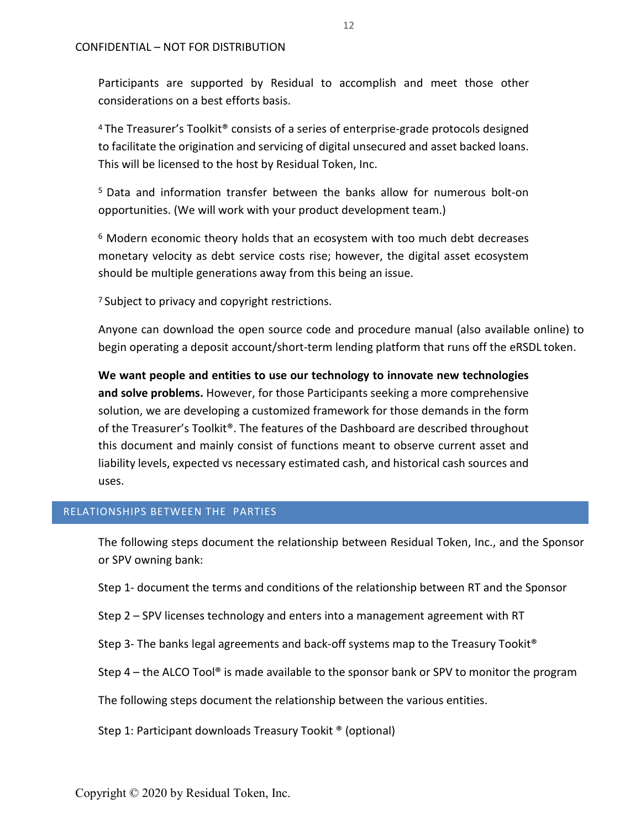Participants are supported by Residual to accomplish and meet those other considerations on a best efforts basis.

4 The Treasurer's Toolkit® consists of a series of enterprise-grade protocols designed to facilitate the origination and servicing of digital unsecured and asset backed loans. This will be licensed to the host by Residual Token, Inc.

5 Data and information transfer between the banks allow for numerous bolt-on opportunities. (We will work with your product development team.)

<span id="page-12-1"></span><sup>6</sup> Modern economic theory holds that an ecosystem with too much debt decreases monetary velocity as debt service costs rise; however, the digital asset ecosystem should be multiple generations away from this being an issue.

<span id="page-12-3"></span><span id="page-12-2"></span><sup>7</sup> Subject to privacy and copyright restrictions.

Anyone can download the open source code and procedure manual (also available online) to begin operating a deposit account/short-term lending platform that runs off the eRSDL token.

**We want people and entities to use our technology to innovate new technologies and solve problems.** However, for those Participants seeking a more comprehensive solution, we are developing a customized framework for those demands in the form of the Treasurer's Toolkit®. The features of the Dashboard are described throughout this document and mainly consist of functions meant to observe current asset and liability levels, expected vs necessary estimated cash, and historical cash sources and uses.

## <span id="page-12-0"></span>RELATIONSHIPS BETWEEN THE PARTIES

The following steps document the relationship between Residual Token, Inc., and the Sponsor or SPV owning bank:

Step 1- document the terms and conditions of the relationship between RT and the Sponsor

Step 2 – SPV licenses technology and enters into a management agreement with RT

Step 3- The banks legal agreements and back-off systems map to the Treasury Tookit®

Step 4 – the ALCO Tool<sup>®</sup> is made available to the sponsor bank or SPV to monitor the program

The following steps document the relationship between the various entities.

Step 1: Participant downloads Treasury Tookit ® (optional)

Copyright © 2020 by Residual Token, Inc.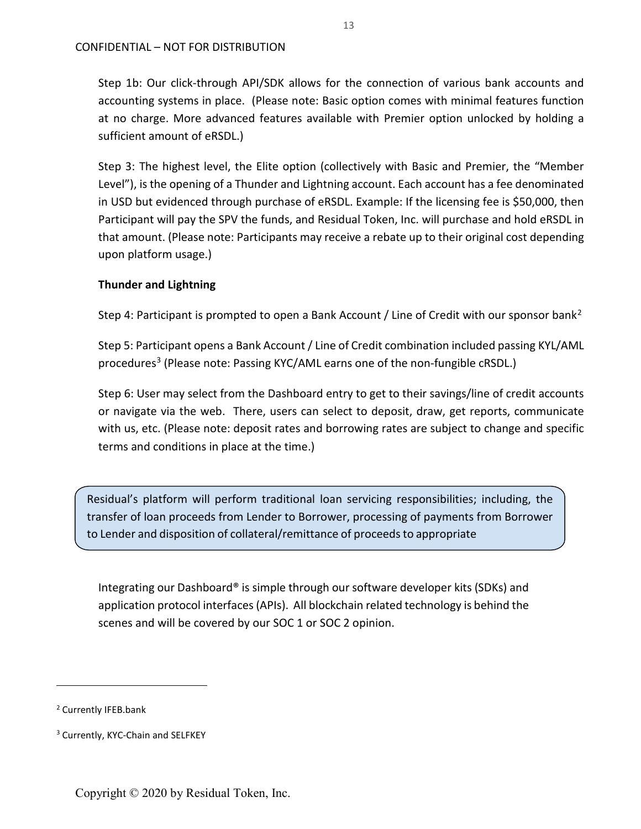Step 1b: Our click-through API/SDK allows for the connection of various bank accounts and accounting systems in place. (Please note: Basic option comes with minimal features function at no charge. More advanced features available with Premier option unlocked by holding a sufficient amount of eRSDL.)

Step 3: The highest level, the Elite option (collectively with Basic and Premier, the "Member Level"), is the opening of a Thunder and Lightning account. Each account has a fee denominated in USD but evidenced through purchase of eRSDL. Example: If the licensing fee is \$50,000, then Participant will pay the SPV the funds, and Residual Token, Inc. will purchase and hold eRSDL in that amount. (Please note: Participants may receive a rebate up to their original cost depending upon platform usage.)

## **Thunder and Lightning**

Step 4: Participant is prompted to open a Bank Account / Line of Credit with our sponsor bank<sup>[2](#page-13-1)</sup>

Step 5: Participant opens a Bank Account / Line of Credit combination included passing KYL/AML procedures<sup>[3](#page-13-2)</sup> (Please note: Passing KYC/AML earns one of the non-fungible cRSDL.)

Step 6: User may select from the Dashboard entry to get to their savings/line of credit accounts or navigate via the web. There, users can select to deposit, draw, get reports, communicate with us, etc. (Please note: deposit rates and borrowing rates are subject to change and specific terms and conditions in place at the time.)

Residual's platform will perform traditional loan servicing responsibilities; including, the transfer of loan proceeds from Lender to Borrower, processing of payments from Borrower to Lender and disposition of collateral/remittance of proceeds to appropriate

<span id="page-13-0"></span>Integrating our Dashboard® is simple through our software developer kits (SDKs) and application protocol interfaces (APIs). All blockchain related technology is behind the scenes and will be covered by our SOC 1 or SOC 2 opinion.

 $\overline{a}$ 

<span id="page-13-1"></span><sup>2</sup> Currently IFEB.bank

<span id="page-13-2"></span><sup>&</sup>lt;sup>3</sup> Currently, KYC-Chain and SELFKEY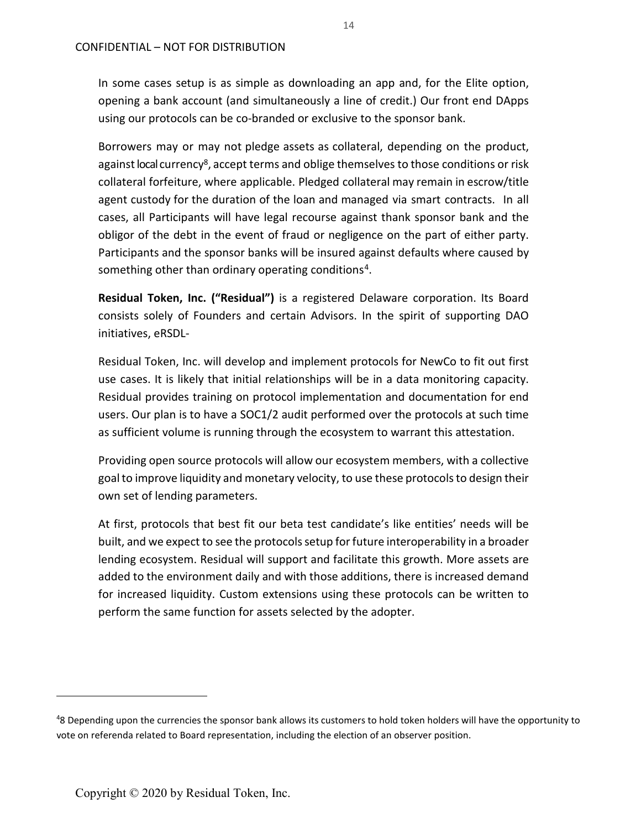In some cases setup is as simple as downloading an app and, for the Elite option, opening a bank account (and simultaneously a line of credit.) Our front end DApps using our protocols can be co-branded or exclusive to the sponsor bank.

Borrowers may or may not pledge assets as collateral, depending on the product, against local currency<sup>8</sup>, accept terms and oblige themselves to those conditions or risk collateral forfeiture, where applicable. Pledged collateral may remain in escrow/title agent custody for the duration of the loan and managed via smart contracts. In all cases, all Participants will have legal recourse against thank sponsor bank and the obligor of the debt in the event of fraud or negligence on the part of either party. Participants and the sponsor banks will be insured against defaults where caused by something other than ordinary operating conditions<sup>[4](#page-14-0)</sup>.

**Residual Token, Inc. ("Residual")** is a registered Delaware corporation. Its Board consists solely of Founders and certain Advisors. In the spirit of supporting DAO initiatives, eRSDL-

Residual Token, Inc. will develop and implement protocols for NewCo to fit out first use cases. It is likely that initial relationships will be in a data monitoring capacity. Residual provides training on protocol implementation and documentation for end users. Our plan is to have a SOC1/2 audit performed over the protocols at such time as sufficient volume is running through the ecosystem to warrant this attestation.

Providing open source protocols will allow our ecosystem members, with a collective goalto improve liquidity and monetary velocity, to use these protocols to design their own set of lending parameters.

At first, protocols that best fit our beta test candidate's like entities' needs will be built, and we expect to see the protocols setup for future interoperability in a broader lending ecosystem. Residual will support and facilitate this growth. More assets are added to the environment daily and with those additions, there is increased demand for increased liquidity. Custom extensions using these protocols can be written to perform the same function for assets selected by the adopter.

 $\overline{a}$ 

<span id="page-14-0"></span><sup>&</sup>lt;sup>4</sup>8 Depending upon the currencies the sponsor bank allows its customers to hold token holders will have the opportunity to vote on referenda related to Board representation, including the election of an observer position.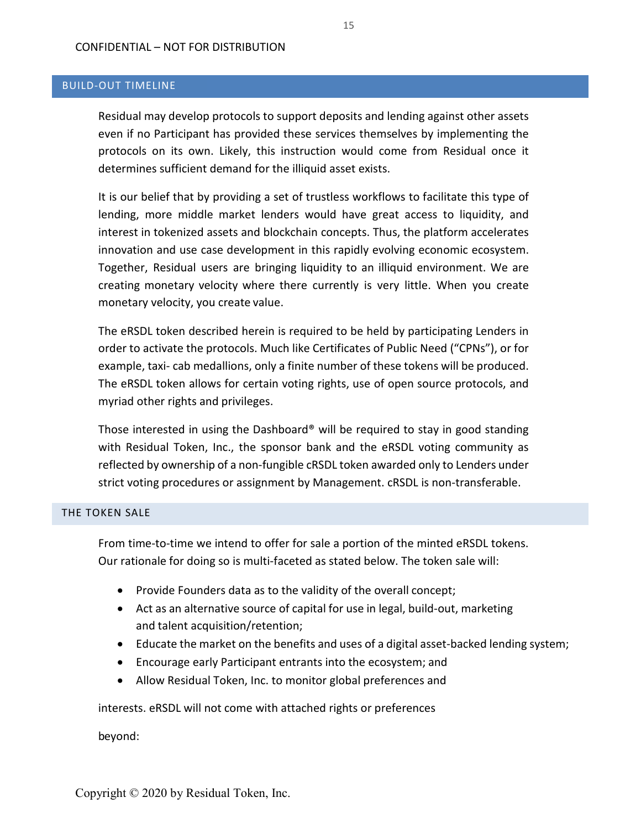## <span id="page-15-0"></span>BUILD-OUT TIMELINE

Residual may develop protocols to support deposits and lending against other assets even if no Participant has provided these services themselves by implementing the protocols on its own. Likely, this instruction would come from Residual once it determines sufficient demand for the illiquid asset exists.

It is our belief that by providing a set of trustless workflows to facilitate this type of lending, more middle market lenders would have great access to liquidity, and interest in tokenized assets and blockchain concepts. Thus, the platform accelerates innovation and use case development in this rapidly evolving economic ecosystem. Together, Residual users are bringing liquidity to an illiquid environment. We are creating monetary velocity where there currently is very little. When you create monetary velocity, you create value.

The eRSDL token described herein is required to be held by participating Lenders in order to activate the protocols. Much like Certificates of Public Need ("CPNs"), or for example, taxi- cab medallions, only a finite number of these tokens will be produced. The eRSDL token allows for certain voting rights, use of open source protocols, and myriad other rights and privileges.

<span id="page-15-2"></span>Those interested in using the Dashboard® will be required to stay in good standing with Residual Token, Inc., the sponsor bank and the eRSDL voting community as reflected by ownership of a non-fungible cRSDL token awarded only to Lenders under strict voting procedures or assignment by Management. cRSDL is non-transferable.

## <span id="page-15-1"></span>THE TOKEN SALE

From time-to-time we intend to offer for sale a portion of the minted eRSDL tokens. Our rationale for doing so is multi-faceted as stated below. The token sale will:

- Provide Founders data as to the validity of the overall concept;
- Act as an alternative source of capital for use in legal, build-out, marketing and talent acquisition/retention;
- Educate the market on the benefits and uses of a digital asset-backed lending system;
- Encourage early Participant entrants into the ecosystem; and
- Allow Residual Token, Inc. to monitor global preferences and

interests. eRSDL will not come with attached rights or preferences

beyond: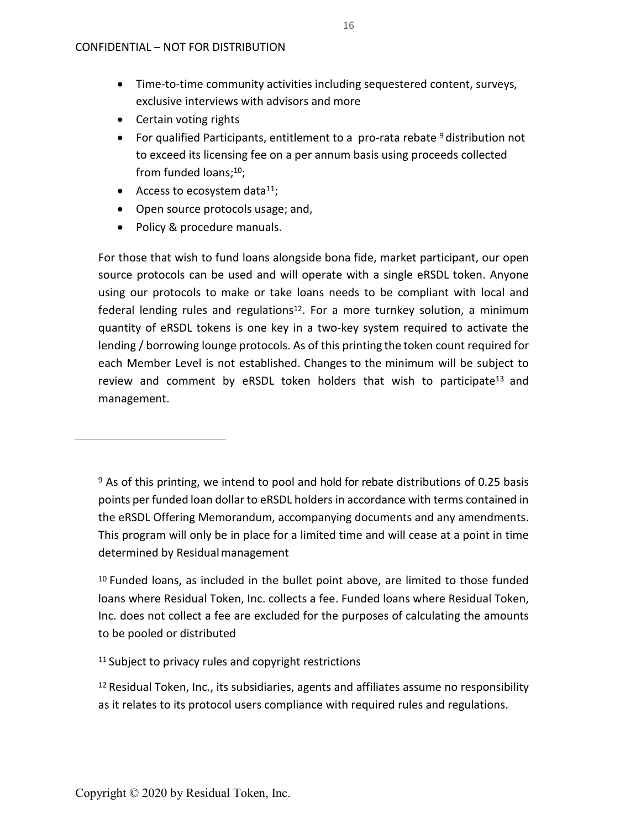- Time-to-time community activities including sequestered content, surveys, exclusive interviews with advisors and more
- Certain voting rights
- For qualified Participants, entitlement to a pro-rata rebate <sup>[9](#page-18-1)</sup> distribution not to exceed its licensing fee on a per annum basis using proceeds collected from funded loans[;10;](#page-18-2)
- Access to ecosystem data $^{11}$ ;
- Open source protocols usage; and,
- Policy & procedure manuals.

For those that wish to fund loans alongside bona fide, market participant, our open source protocols can be used and will operate with a single eRSDL token. Anyone using our protocols to make or take loans needs to be compliant with local and federal lending rules and regulations<sup>12</sup>. For a more turnkey solution, a minimum quantity of eRSDL tokens is one key in a two-key system required to activate the lending / borrowing lounge protocols. As of this printing the token count required for each Member Level is not established. Changes to the minimum will be subject to review and comment by eRSDL token holders that wish to participate<sup>13</sup> and management.

<sup>9</sup> As of this printing, we intend to pool and hold for rebate distributions of 0.25 basis points per funded loan dollar to eRSDL holders in accordance with terms contained in the eRSDL Offering Memorandum, accompanying documents and any amendments. This program will only be in place for a limited time and will cease at a point in time determined by Residual management

10 Funded loans, as included in the bullet point above, are limited to those funded loans where Residual Token, Inc. collects a fee. Funded loans where Residual Token, Inc. does not collect a fee are excluded for the purposes of calculating the amounts to be pooled or distributed

<sup>11</sup> Subject to privacy rules and copyright restrictions

 $12$  Residual Token, Inc., its subsidiaries, agents and affiliates assume no responsibility as it relates to its protocol users compliance with required rules and regulations.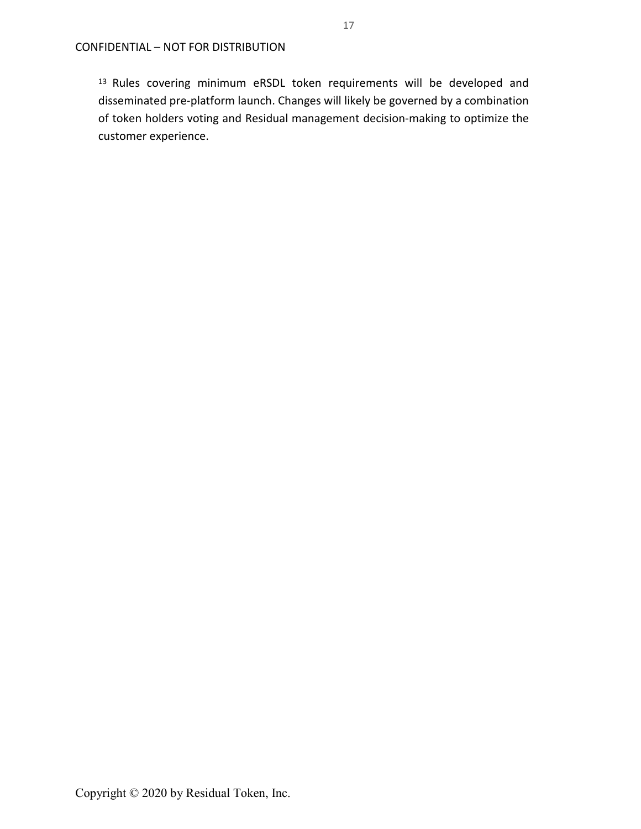13 Rules covering minimum eRSDL token requirements will be developed and disseminated pre-platform launch. Changes will likely be governed by a combination of token holders voting and Residual management decision-making to optimize the customer experience.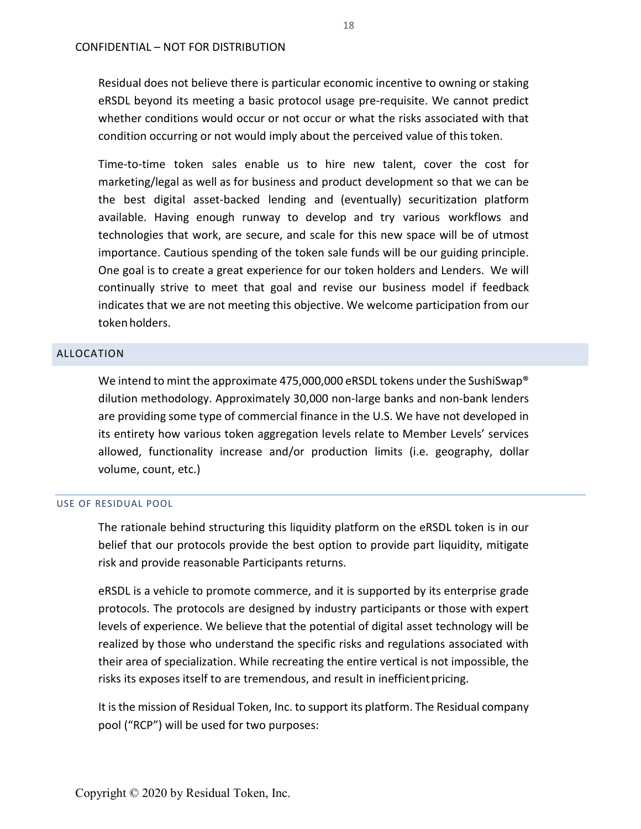Residual does not believe there is particular economic incentive to owning or staking eRSDL beyond its meeting a basic protocol usage pre-requisite. We cannot predict whether conditions would occur or not occur or what the risks associated with that condition occurring or not would imply about the perceived value of thistoken.

Time-to-time token sales enable us to hire new talent, cover the cost for marketing/legal as well as for business and product development so that we can be the best digital asset-backed lending and (eventually) securitization platform available. Having enough runway to develop and try various workflows and technologies that work, are secure, and scale for this new space will be of utmost importance. Cautious spending of the token sale funds will be our guiding principle. One goal is to create a great experience for our token holders and Lenders. We will continually strive to meet that goal and revise our business model if feedback indicates that we are not meeting this objective. We welcome participation from our tokenholders.

#### <span id="page-18-0"></span>ALLOCATION

We intend to mint the approximate 475,000,000 eRSDL tokens under the SushiSwap<sup>®</sup> dilution methodology. Approximately 30,000 non-large banks and non-bank lenders are providing some type of commercial finance in the U.S. We have not developed in its entirety how various token aggregation levels relate to Member Levels' services allowed, functionality increase and/or production limits (i.e. geography, dollar volume, count, etc.)

#### USE OF RESIDUAL POOL

The rationale behind structuring this liquidity platform on the eRSDL token is in our belief that our protocols provide the best option to provide part liquidity, mitigate risk and provide reasonable Participants returns.

<span id="page-18-1"></span>eRSDL is a vehicle to promote commerce, and it is supported by its enterprise grade protocols. The protocols are designed by industry participants or those with expert levels of experience. We believe that the potential of digital asset technology will be realized by those who understand the specific risks and regulations associated with their area of specialization. While recreating the entire vertical is not impossible, the risks its exposes itself to are tremendous, and result in inefficientpricing.

<span id="page-18-2"></span>It is the mission of Residual Token, Inc. to support its platform. The Residual company pool ("RCP") will be used for two purposes: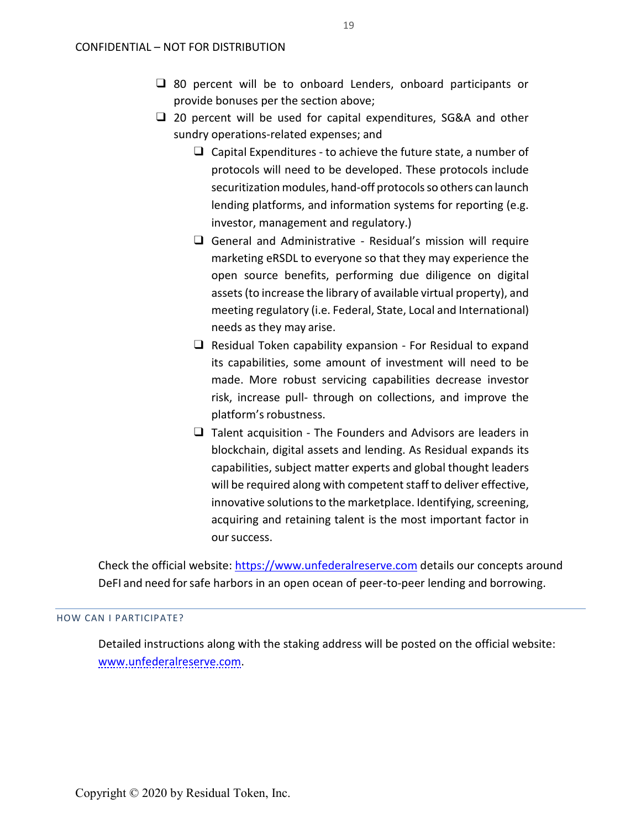- ❑ 80 percent will be to onboard Lenders, onboard participants or provide bonuses per the section above;
- <span id="page-19-2"></span><span id="page-19-1"></span><span id="page-19-0"></span>❑ 20 percent will be used for capital expenditures, SG&A and other sundry operations-related expenses; and
	- $\Box$  Capital Expenditures to achieve the future state, a number of protocols will need to be developed. These protocols include securitization modules, hand-off protocols so others can launch lending platforms, and information systems for reporting (e.g. investor, management and regulatory.)
	- ❑ General and Administrative Residual's mission will require marketing eRSDL to everyone so that they may experience the open source benefits, performing due diligence on digital assets (to increase the library of available virtual property), and meeting regulatory (i.e. Federal, State, Local and International) needs as they may arise.
	- ❑ Residual Token capability expansion For Residual to expand its capabilities, some amount of investment will need to be made. More robust servicing capabilities decrease investor risk, increase pull- through on collections, and improve the platform's robustness.
	- ❑ Talent acquisition The Founders and Advisors are leaders in blockchain, digital assets and lending. As Residual expands its capabilities, subject matter experts and global thought leaders will be required along with competent staff to deliver effective, innovative solutions to the marketplace. Identifying, screening, acquiring and retaining talent is the most important factor in our success.

Check the official website: [https://www.unfederalreserve.com](https://www.unfederalreserve.com/) details our concepts around DeFI and need forsafe harbors in an open ocean of peer-to-peer lending and borrowing.

## HOW CAN I PARTICIPATE?

Detailed instructions along with the staking address will be posted on the official website: [www.unfederalreserve.com.](http://www.unfederalreserve.com/)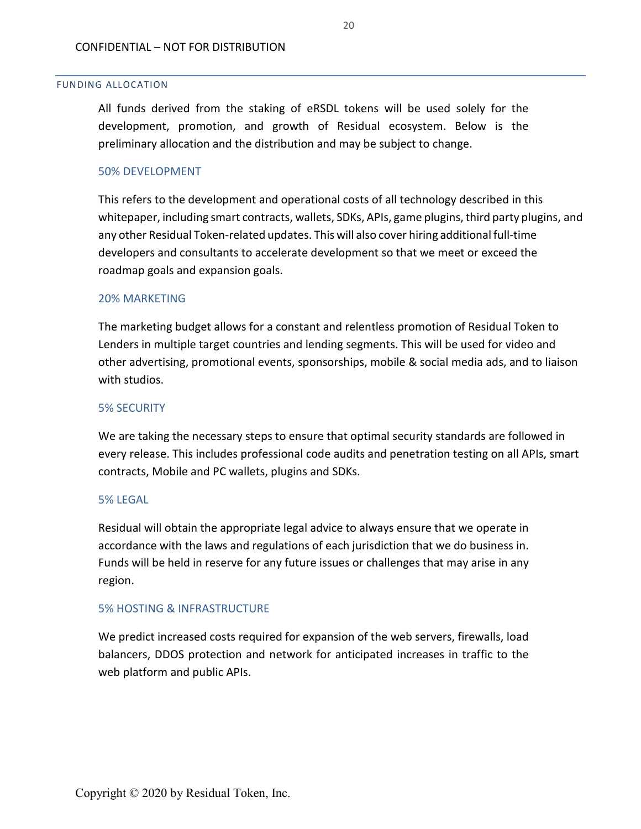#### FUNDING ALLOCATION

All funds derived from the staking of eRSDL tokens will be used solely for the development, promotion, and growth of Residual ecosystem. Below is the preliminary allocation and the distribution and may be subject to change.

## 50% DEVELOPMENT

This refers to the development and operational costs of all technology described in this whitepaper, including smart contracts, wallets, SDKs, APIs, game plugins, third party plugins, and any other Residual Token-related updates. This will also cover hiring additional full-time developers and consultants to accelerate development so that we meet or exceed the roadmap goals and expansion goals.

#### 20% MARKETING

The marketing budget allows for a constant and relentless promotion of Residual Token to Lenders in multiple target countries and lending segments. This will be used for video and other advertising, promotional events, sponsorships, mobile & social media ads, and to liaison with studios.

## 5% SECURITY

We are taking the necessary steps to ensure that optimal security standards are followed in every release. This includes professional code audits and penetration testing on all APIs, smart contracts, Mobile and PC wallets, plugins and SDKs.

## 5% LEGAL

Residual will obtain the appropriate legal advice to always ensure that we operate in accordance with the laws and regulations of each jurisdiction that we do business in. Funds will be held in reserve for any future issues or challenges that may arise in any region.

## 5% HOSTING & INFRASTRUCTURE

We predict increased costs required for expansion of the web servers, firewalls, load balancers, DDOS protection and network for anticipated increases in traffic to the web platform and public APIs.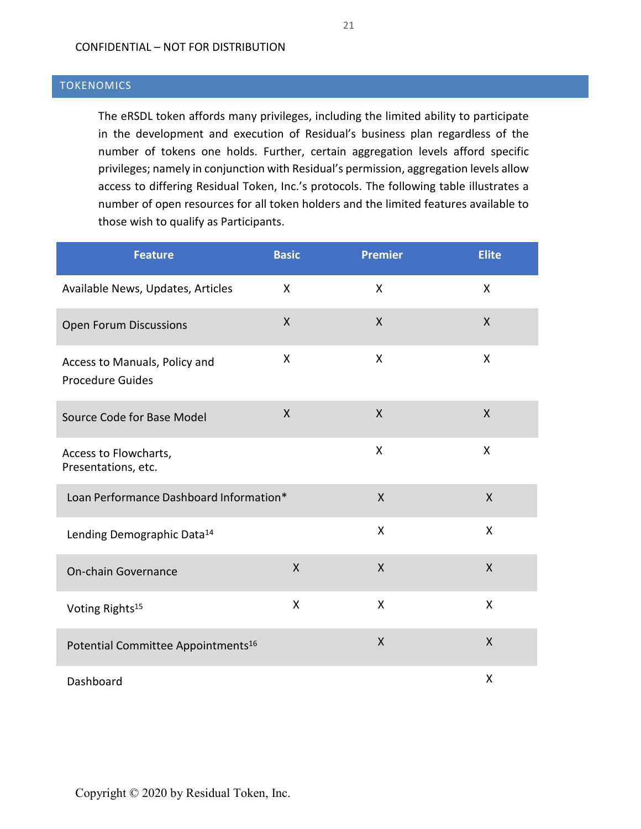## CONFIDENTIAL – NOT FOR DISTRIBUTION

## <span id="page-21-0"></span>**TOKENOMICS**

The eRSDL token affords many privileges, including the limited ability to participate in the development and execution of Residual's business plan regardless of the number of tokens one holds. Further, certain aggregation levels afford specific privileges; namely in conjunction with Residual's permission, aggregation levels allow access to differing Residual Token, Inc.'s protocols. The following table illustrates a number of open resources for all token holders and the limited features available to those wish to qualify as Participants.

| <b>Feature</b>                                           | <b>Basic</b>       | <b>Premier</b> | <b>Elite</b> |
|----------------------------------------------------------|--------------------|----------------|--------------|
| Available News, Updates, Articles                        | $\mathsf{X}$       | X              | X            |
| <b>Open Forum Discussions</b>                            | X                  | X              | X            |
| Access to Manuals, Policy and<br><b>Procedure Guides</b> | X                  | X              | X            |
| Source Code for Base Model                               | $\pmb{\mathsf{X}}$ | X              | $\sf X$      |
| Access to Flowcharts,<br>Presentations, etc.             |                    | X              | X            |
| Loan Performance Dashboard Information*                  |                    | $\sf X$        | $\mathsf{X}$ |
| Lending Demographic Data <sup>14</sup>                   |                    | X              | X            |
| On-chain Governance                                      | $\mathsf{X}$       | $\sf X$        | $\mathsf{X}$ |
| Voting Rights <sup>15</sup>                              | X                  | Χ              | X            |
| Potential Committee Appointments <sup>16</sup>           |                    | $\sf X$        | $\mathsf{X}$ |
| Dashboard                                                |                    |                | X            |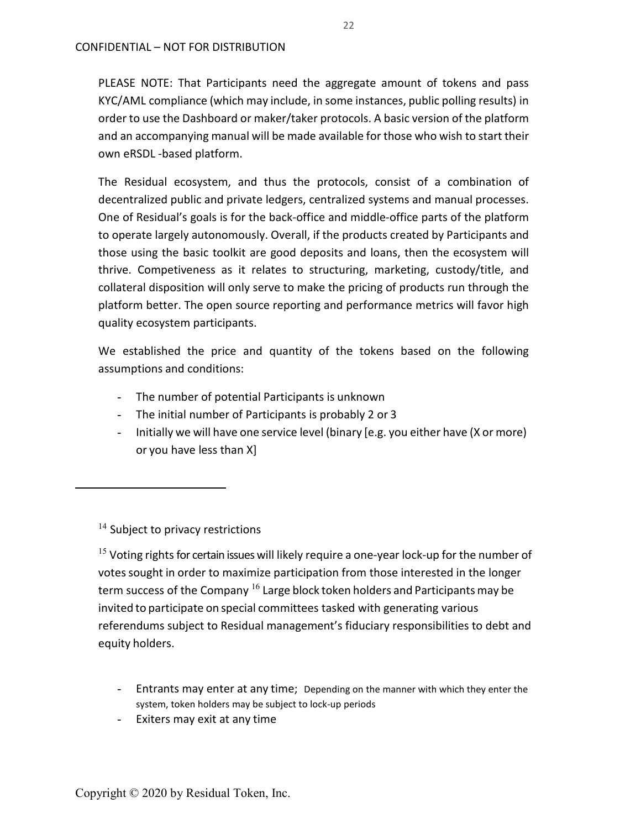PLEASE NOTE: That Participants need the aggregate amount of tokens and pass KYC/AML compliance (which may include, in some instances, public polling results) in order to use the Dashboard or maker/taker protocols. A basic version of the platform and an accompanying manual will be made available for those who wish to start their own eRSDL -based platform.

The Residual ecosystem, and thus the protocols, consist of a combination of decentralized public and private ledgers, centralized systems and manual processes. One of Residual's goals is for the back-office and middle-office parts of the platform to operate largely autonomously. Overall, if the products created by Participants and those using the basic toolkit are good deposits and loans, then the ecosystem will thrive. Competiveness as it relates to structuring, marketing, custody/title, and collateral disposition will only serve to make the pricing of products run through the platform better. The open source reporting and performance metrics will favor high quality ecosystem participants.

We established the price and quantity of the tokens based on the following assumptions and conditions:

- The number of potential Participants is unknown
- The initial number of Participants is probably 2 or 3
- Initially we will have one service level (binary [e.g. you either have (X or more) or you have less than X]

 $14$  Subject to privacy restrictions

<sup>15</sup> Voting rights for certain issues will likely require a one-year lock-up for the number of votes sought in order to maximize participation from those interested in the longer term success of the Company  $^{16}$  Large block token holders and Participants may be invited to participate on special committees tasked with generating various referendums subject to Residual management's fiduciary responsibilities to debt and equity holders.

- Entrants may enter at any time; Depending on the manner with which they enter the system, token holders may be subject to lock-up periods
- Exiters may exit at any time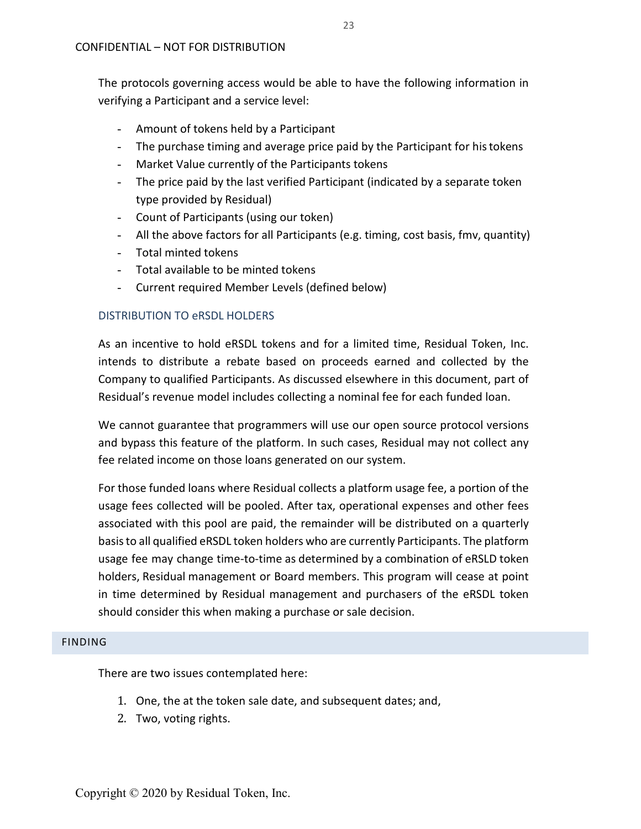The protocols governing access would be able to have the following information in verifying a Participant and a service level:

- Amount of tokens held by a Participant
- The purchase timing and average price paid by the Participant for his tokens
- Market Value currently of the Participants tokens
- The price paid by the last verified Participant (indicated by a separate token type provided by Residual)
- Count of Participants (using our token)
- All the above factors for all Participants (e.g. timing, cost basis, fmv, quantity)
- Total minted tokens
- Total available to be minted tokens
- Current required Member Levels (defined below)

## DISTRIBUTION TO eRSDL HOLDERS

As an incentive to hold eRSDL tokens and for a limited time, Residual Token, Inc. intends to distribute a rebate based on proceeds earned and collected by the Company to qualified Participants. As discussed elsewhere in this document, part of Residual's revenue model includes collecting a nominal fee for each funded loan.

We cannot guarantee that programmers will use our open source protocol versions and bypass this feature of the platform. In such cases, Residual may not collect any fee related income on those loans generated on our system.

For those funded loans where Residual collects a platform usage fee, a portion of the usage fees collected will be pooled. After tax, operational expenses and other fees associated with this pool are paid, the remainder will be distributed on a quarterly basis to all qualified eRSDL token holders who are currently Participants. The platform usage fee may change time-to-time as determined by a combination of eRSLD token holders, Residual management or Board members. This program will cease at point in time determined by Residual management and purchasers of the eRSDL token should consider this when making a purchase or sale decision.

## <span id="page-23-3"></span><span id="page-23-2"></span><span id="page-23-0"></span>FINDING

There are two issues contemplated here:

- <span id="page-23-1"></span>1. One, the at the token sale date, and subsequent dates; and,
- 2. Two, voting rights.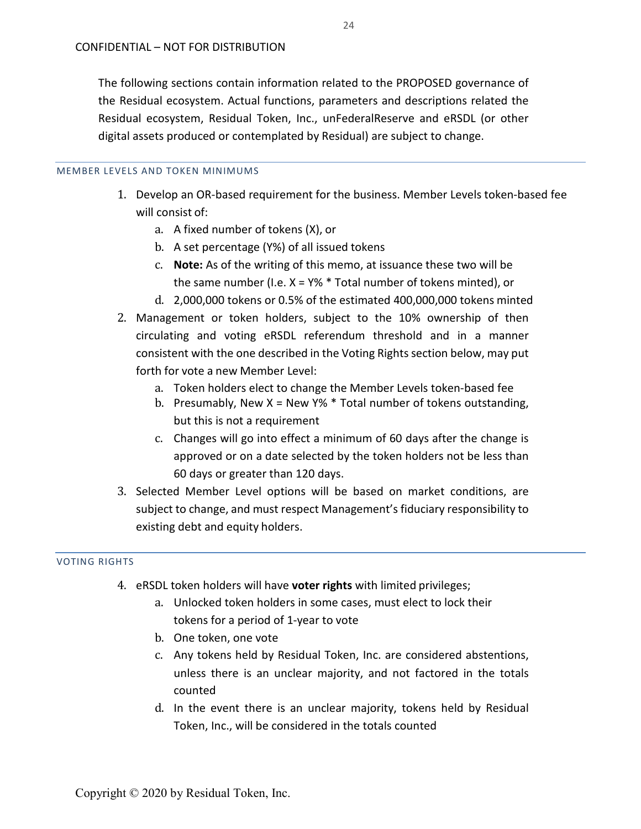The following sections contain information related to the PROPOSED governance of the Residual ecosystem. Actual functions, parameters and descriptions related the Residual ecosystem, Residual Token, Inc., unFederalReserve and eRSDL (or other digital assets produced or contemplated by Residual) are subject to change.

#### MEMBER LEVELS AND TOKEN MINIMUMS

- 1. Develop an OR-based requirement for the business. Member Levels token-based fee will consist of:
	- a. A fixed number of tokens (X), or
	- b. A set percentage (Y%) of all issued tokens
	- c. **Note:** As of the writing of this memo, at issuance these two will be the same number (I.e.  $X = Y\% * Total number of tokens minted)$ , or
	- d. 2,000,000 tokens or 0.5% of the estimated 400,000,000 tokens minted
- 2. Management or token holders, subject to the 10% ownership of then circulating and voting eRSDL referendum threshold and in a manner consistent with the one described in the Voting Rights section below, may put forth for vote a new Member Level:
	- a. Token holders elect to change the Member Levels token-based fee
	- b. Presumably, New X = New Y%  $*$  Total number of tokens outstanding, but this is not a requirement
	- c. Changes will go into effect a minimum of 60 days after the change is approved or on a date selected by the token holders not be less than 60 days or greater than 120 days.
- 3. Selected Member Level options will be based on market conditions, are subject to change, and must respect Management's fiduciary responsibility to existing debt and equity holders.

## VOTING RIGHTS

- 4. eRSDL token holders will have **voter rights** with limited privileges;
	- a. Unlocked token holders in some cases, must elect to lock their tokens for a period of 1-year to vote
	- b. One token, one vote
	- c. Any tokens held by Residual Token, Inc. are considered abstentions, unless there is an unclear majority, and not factored in the totals counted
	- d. In the event there is an unclear majority, tokens held by Residual Token, Inc., will be considered in the totals counted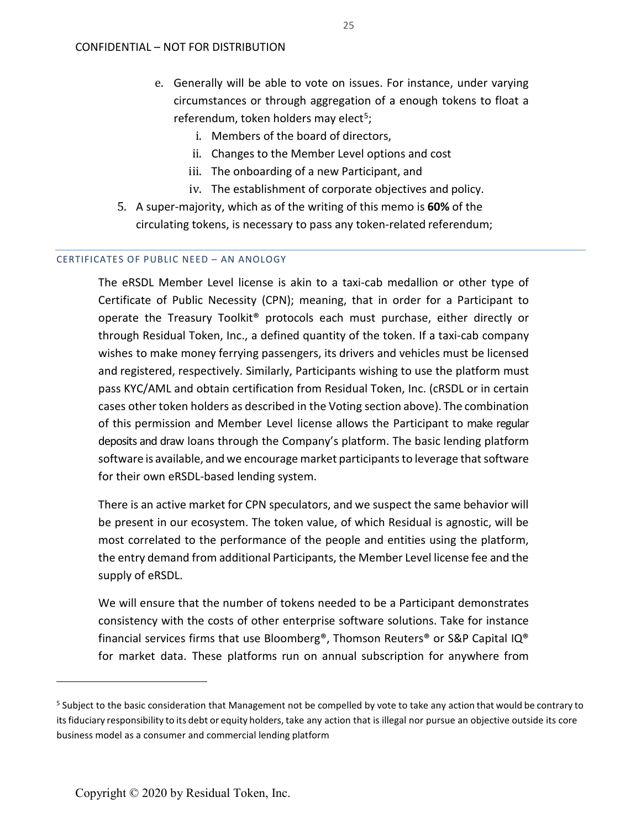- e. Generally will be able to vote on issues. For instance, under varying circumstances or through aggregation of a enough tokens to float a referendum, token holders may elect<sup>5</sup>;
	- i. Members of the board of directors,
	- ii. Changes to the Member Level options and cost
	- iii. The onboarding of a new Participant, and
	- iv. The establishment of corporate objectives and policy.
- 5. A super-majority, which as of the writing of this memo is **60%** of the circulating tokens, is necessary to pass any token-related referendum;

## CERTIFICATES OF PUBLIC NEED – AN ANOLOGY

The eRSDL Member Level license is akin to a taxi-cab medallion or other type of Certificate of Public Necessity (CPN); meaning, that in order for a Participant to operate the Treasury Toolkit® protocols each must purchase, either directly or through Residual Token, Inc., a defined quantity of the token. If a taxi-cab company wishes to make money ferrying passengers, its drivers and vehicles must be licensed and registered, respectively. Similarly, Participants wishing to use the platform must pass KYC/AML and obtain certification from Residual Token, Inc. (cRSDL or in certain cases other token holders as described in the Voting section above). The combination of this permission and Member Level license allows the Participant to make regular deposits and draw loans through the Company's platform. The basic lending platform software is available, and we encourage market participants to leverage that software for their own eRSDL-based lending system.

There is an active market for CPN speculators, and we suspect the same behavior will be present in our ecosystem. The token value, of which Residual is agnostic, will be most correlated to the performance of the people and entities using the platform, the entry demand from additional Participants, the Member Level license fee and the supply of eRSDL.

We will ensure that the number of tokens needed to be a Participant demonstrates consistency with the costs of other enterprise software solutions. Take for instance financial services firms that use Bloomberg®, Thomson Reuters® or S&P Capital IQ® for market data. These platforms run on annual subscription for anywhere from

 $\overline{a}$ 

<span id="page-25-0"></span><sup>&</sup>lt;sup>5</sup> Subject to the basic consideration that Management not be compelled by vote to take any action that would be contrary to itsfiduciary responsibility to its debt or equity holders, take any action that is illegal nor pursue an objective outside its core business model as a consumer and commercial lending platform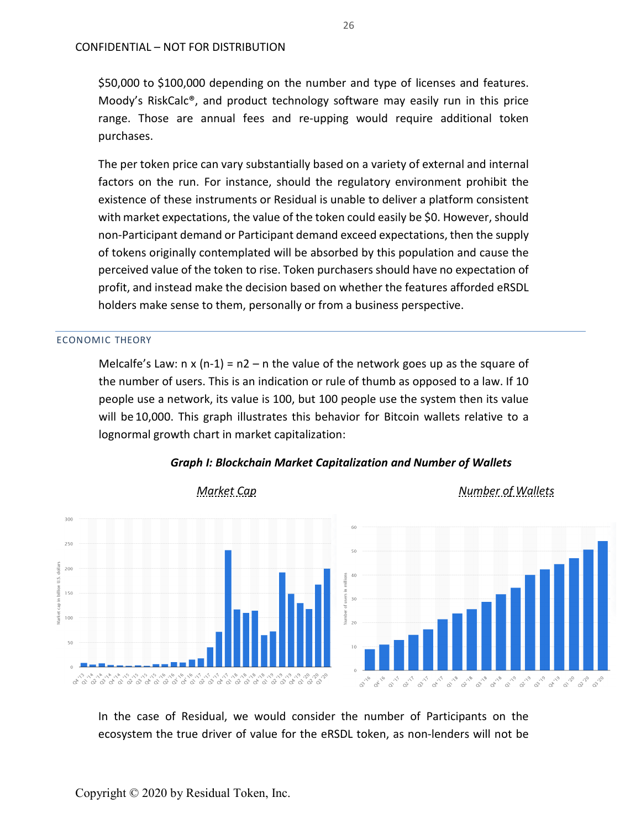\$50,000 to \$100,000 depending on the number and type of licenses and features. Moody's RiskCalc®, and product technology software may easily run in this price range. Those are annual fees and re-upping would require additional token purchases.

The per token price can vary substantially based on a variety of external and internal factors on the run. For instance, should the regulatory environment prohibit the existence of these instruments or Residual is unable to deliver a platform consistent with market expectations, the value of the token could easily be \$0. However, should non-Participant demand or Participant demand exceed expectations, then the supply of tokens originally contemplated will be absorbed by this population and cause the perceived value of the token to rise. Token purchasers should have no expectation of profit, and instead make the decision based on whether the features afforded eRSDL holders make sense to them, personally or from a business perspective.

#### ECONOMIC THEORY

Melcalfe's Law:  $n \times (n-1) = n2 - n$  the value of the network goes up as the square of the number of users. This is an indication or rule of thumb as opposed to a law. If 10 people use a network, its value is 100, but 100 people use the system then its value will be 10,000. This graph illustrates this behavior for Bitcoin wallets relative to a lognormal growth chart in market capitalization:



*Graph I: Blockchain Market Capitalization and Number of Wallets*

In the case of Residual, we would consider the number of Participants on the ecosystem the true driver of value for the eRSDL token, as non-lenders will not be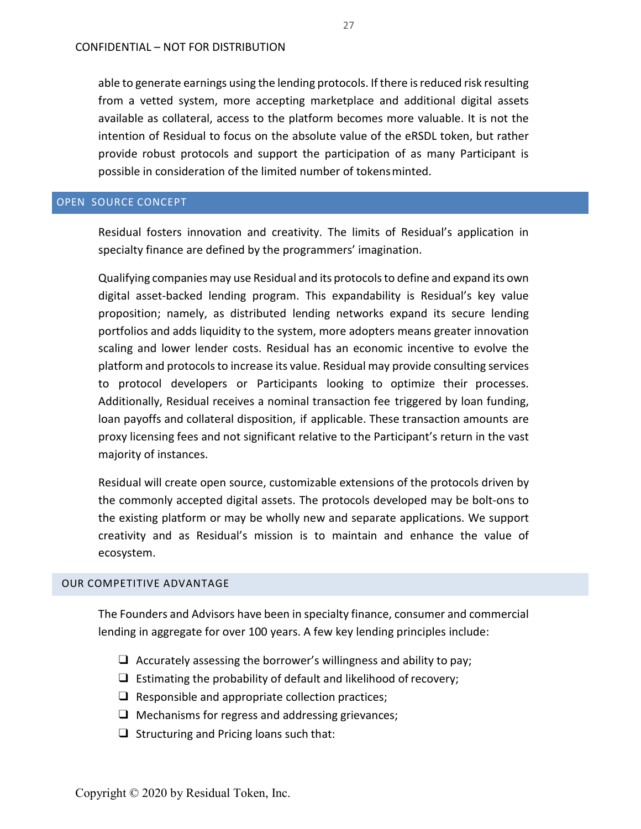able to generate earnings using the lending protocols. If there is reduced risk resulting from a vetted system, more accepting marketplace and additional digital assets available as collateral, access to the platform becomes more valuable. It is not the intention of Residual to focus on the absolute value of the eRSDL token, but rather provide robust protocols and support the participation of as many Participant is possible in consideration of the limited number of tokensminted.

## <span id="page-27-0"></span>OPEN SOURCE CONCEPT

Residual fosters innovation and creativity. The limits of Residual's application in specialty finance are defined by the programmers' imagination.

Qualifying companies may use Residual and its protocolsto define and expand its own digital asset-backed lending program. This expandability is Residual's key value proposition; namely, as distributed lending networks expand its secure lending portfolios and adds liquidity to the system, more adopters means greater innovation scaling and lower lender costs. Residual has an economic incentive to evolve the platform and protocols to increase its value. Residual may provide consulting services to protocol developers or Participants looking to optimize their processes. Additionally, Residual receives a nominal transaction fee triggered by loan funding, loan payoffs and collateral disposition, if applicable. These transaction amounts are proxy licensing fees and not significant relative to the Participant's return in the vast majority of instances.

Residual will create open source, customizable extensions of the protocols driven by the commonly accepted digital assets. The protocols developed may be bolt-ons to the existing platform or may be wholly new and separate applications. We support creativity and as Residual's mission is to maintain and enhance the value of ecosystem.

#### <span id="page-27-1"></span>OUR COMPETITIVE ADVANTAGE

The Founders and Advisors have been in specialty finance, consumer and commercial lending in aggregate for over 100 years. A few key lending principles include:

- $\Box$  Accurately assessing the borrower's willingness and ability to pay;
- $\Box$  Estimating the probability of default and likelihood of recovery;
- $\Box$  Responsible and appropriate collection practices;
- $\Box$  Mechanisms for regress and addressing grievances;
- ❑ Structuring and Pricing loans such that: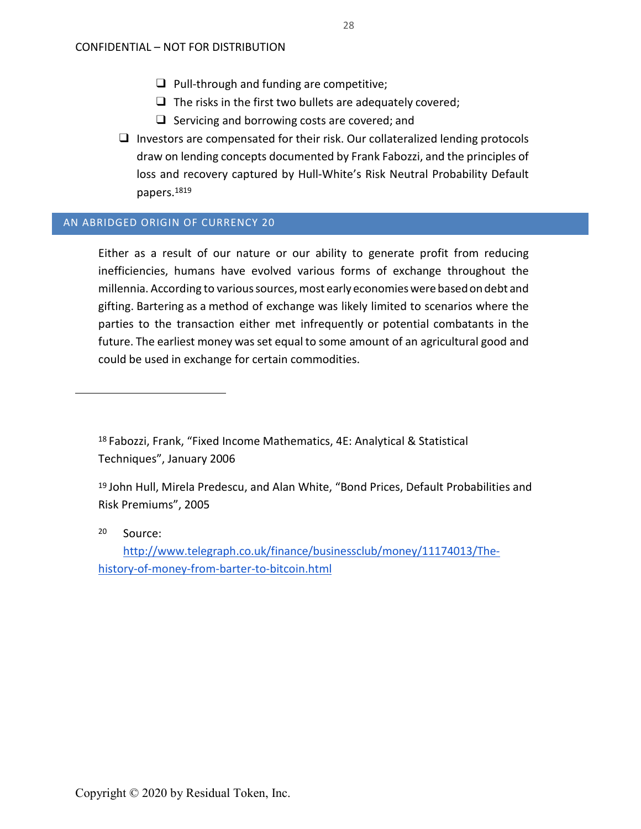- ❑ Pull-through and funding are competitive;
- $\Box$  The risks in the first two bullets are adequately covered;
- ❑ Servicing and borrowing costs are covered; and
- ❑ Investors are compensated for their risk. Our collateralized lending protocols draw on lending concepts documented by Frank Fabozzi, and the principles of loss and recovery captured by Hull-White's Risk Neutral Probability Default papers[.181](#page-29-1)9

## <span id="page-28-0"></span>AN ABRIDGED ORIGIN OF CURRENCY 20

Either as a result of our nature or our ability to generate profit from reducing inefficiencies, humans have evolved various forms of exchange throughout the millennia. According to varioussources,most early economieswerebasedondebt and gifting. Bartering as a method of exchange was likely limited to scenarios where the parties to the transaction either met infrequently or potential combatants in the future. The earliest money was set equal to some amount of an agricultural good and could be used in exchange for certain commodities.

18 Fabozzi, Frank, "Fixed Income Mathematics, 4E: Analytical & Statistical Techniques", January 2006

<sup>20</sup> Source:

[http://www.telegraph.co.uk/finance/businessclub/money/11174013/The](http://www.telegraph.co.uk/finance/businessclub/money/11174013/The-history-of-money-from-barter-to-bitcoin.html)[history-of-money-from-barter-to-bitcoin.html](http://www.telegraph.co.uk/finance/businessclub/money/11174013/The-history-of-money-from-barter-to-bitcoin.html)

<sup>19</sup> John Hull, Mirela Predescu, and Alan White, "Bond Prices, Default Probabilities and Risk Premiums", 2005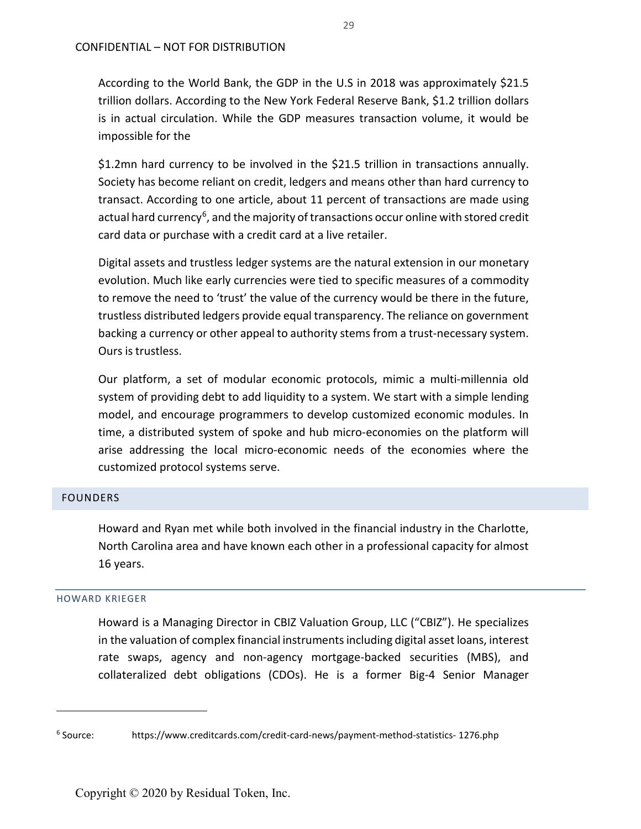According to the World Bank, the GDP in the U.S in 2018 was approximately \$21.5 trillion dollars. According to the New York Federal Reserve Bank, \$1.2 trillion dollars is in actual circulation. While the GDP measures transaction volume, it would be impossible for the

\$1.2mn hard currency to be involved in the \$21.5 trillion in transactions annually. Society has become reliant on credit, ledgers and means other than hard currency to transact. According to one article, about 11 percent of transactions are made using actual hard currency<sup>[6](#page-29-2)</sup>, and the majority of transactions occur online with stored credit card data or purchase with a credit card at a live retailer.

Digital assets and trustless ledger systems are the natural extension in our monetary evolution. Much like early currencies were tied to specific measures of a commodity to remove the need to 'trust' the value of the currency would be there in the future, trustless distributed ledgers provide equal transparency. The reliance on government backing a currency or other appeal to authority stems from a trust-necessary system. Ours is trustless.

Our platform, a set of modular economic protocols, mimic a multi-millennia old system of providing debt to add liquidity to a system. We start with a simple lending model, and encourage programmers to develop customized economic modules. In time, a distributed system of spoke and hub micro-economies on the platform will arise addressing the local micro-economic needs of the economies where the customized protocol systems serve.

## <span id="page-29-0"></span>FOUNDERS

Howard and Ryan met while both involved in the financial industry in the Charlotte, North Carolina area and have known each other in a professional capacity for almost 16 years.

## HOWARD KRIEGER

 $\overline{a}$ 

<span id="page-29-1"></span>Howard is a Managing Director in CBIZ Valuation Group, LLC ("CBIZ"). He specializes in the valuation of complex financial instrumentsincluding digital asset loans, interest rate swaps, agency and non-agency mortgage-backed securities (MBS), and collateralized debt obligations (CDOs). He is a former Big-4 Senior Manager

<span id="page-29-2"></span><sup>6</sup> Source: https://www.creditcards.com/credit-card-news/payment-method-statistics- 1276.php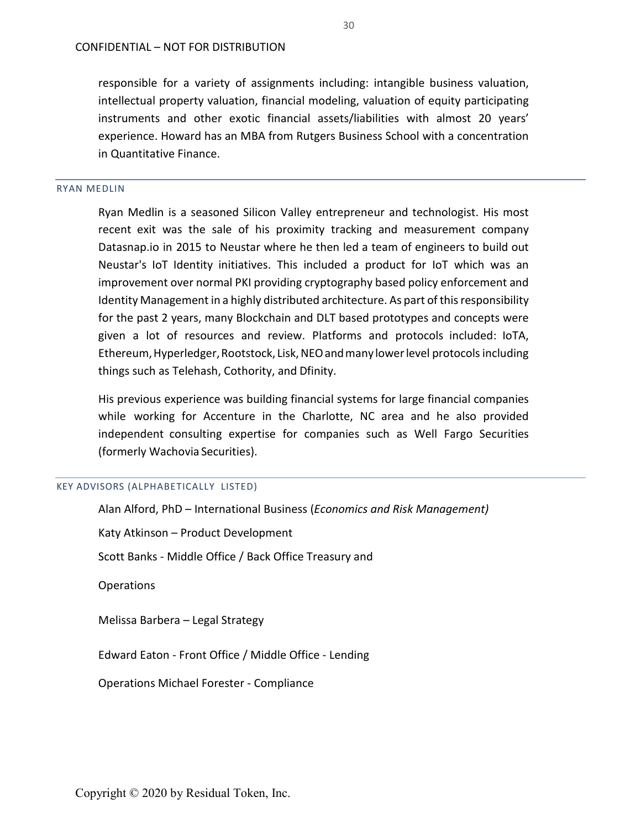responsible for a variety of assignments including: intangible business valuation, intellectual property valuation, financial modeling, valuation of equity participating instruments and other exotic financial assets/liabilities with almost 20 years' experience. Howard has an MBA from Rutgers Business School with a concentration in Quantitative Finance.

#### RYAN MEDLIN

Ryan Medlin is a seasoned Silicon Valley entrepreneur and technologist. His most recent exit was the sale of his proximity tracking and measurement company Datasnap.io in 2015 to Neustar where he then led a team of engineers to build out Neustar's IoT Identity initiatives. This included a product for IoT which was an improvement over normal PKI providing cryptography based policy enforcement and Identity Management in a highly distributed architecture. As part of this responsibility for the past 2 years, many Blockchain and DLT based prototypes and concepts were given a lot of resources and review. Platforms and protocols included: IoTA, Ethereum, Hyperledger, Rootstock, Lisk, NEO and many lower level protocols including things such as Telehash, Cothority, and Dfinity.

His previous experience was building financial systems for large financial companies while working for Accenture in the Charlotte, NC area and he also provided independent consulting expertise for companies such as Well Fargo Securities (formerly Wachovia Securities).

#### KEY ADVISORS (ALPHABETICALLY LISTED)

| Alan Alford, PhD – International Business ( <i>Economics and Risk Management</i> ) |
|------------------------------------------------------------------------------------|
| Katy Atkinson - Product Development                                                |
| Scott Banks - Middle Office / Back Office Treasury and                             |
| <b>Operations</b>                                                                  |
| Melissa Barbera - Legal Strategy                                                   |
| Edward Eaton - Front Office / Middle Office - Lending                              |
| <b>Operations Michael Forester - Compliance</b>                                    |
|                                                                                    |
|                                                                                    |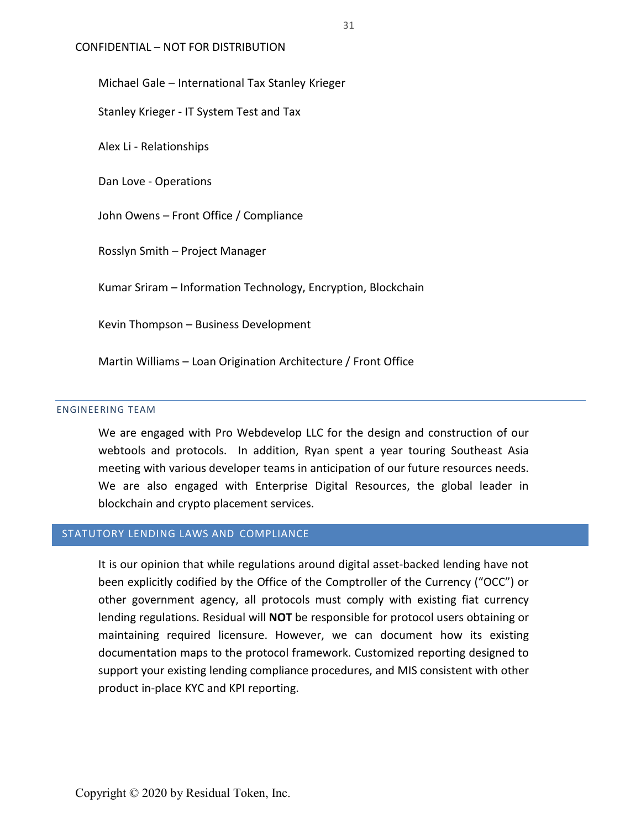CONFIDENTIAL – NOT FOR DISTRIBUTION

Michael Gale – International Tax Stanley Krieger

Stanley Krieger - IT System Test and Tax

Alex Li - Relationships

Dan Love - Operations

John Owens – Front Office / Compliance

Rosslyn Smith – Project Manager

Kumar Sriram – Information Technology, Encryption, Blockchain

Kevin Thompson – Business Development

Martin Williams – Loan Origination Architecture / Front Office

## ENGINEERING TEAM

We are engaged with Pro Webdevelop LLC for the design and construction of our webtools and protocols. In addition, Ryan spent a year touring Southeast Asia meeting with various developer teams in anticipation of our future resources needs. We are also engaged with Enterprise Digital Resources, the global leader in blockchain and crypto placement services.

## <span id="page-31-0"></span>STATUTORY LENDING LAWS AND COMPLIANCE

It is our opinion that while regulations around digital asset-backed lending have not been explicitly codified by the Office of the Comptroller of the Currency ("OCC") or other government agency, all protocols must comply with existing fiat currency lending regulations. Residual will **NOT** be responsible for protocol users obtaining or maintaining required licensure. However, we can document how its existing documentation maps to the protocol framework. Customized reporting designed to support your existing lending compliance procedures, and MIS consistent with other product in-place KYC and KPI reporting.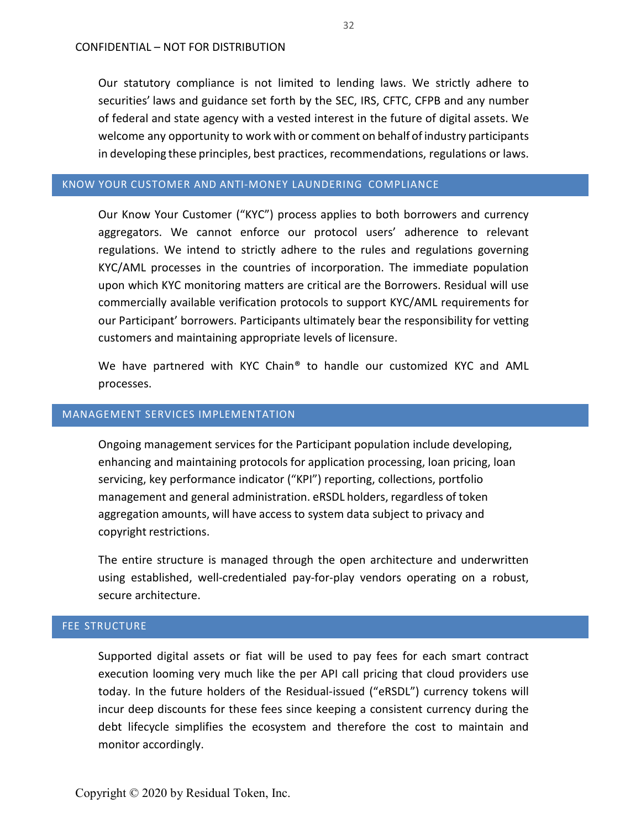Our statutory compliance is not limited to lending laws. We strictly adhere to securities' laws and guidance set forth by the SEC, IRS, CFTC, CFPB and any number of federal and state agency with a vested interest in the future of digital assets. We welcome any opportunity to work with or comment on behalf of industry participants in developing these principles, best practices, recommendations, regulations or laws.

## <span id="page-32-0"></span>KNOW YOUR CUSTOMER AND ANTI-MONEY LAUNDERING COMPLIANCE

Our Know Your Customer ("KYC") process applies to both borrowers and currency aggregators. We cannot enforce our protocol users' adherence to relevant regulations. We intend to strictly adhere to the rules and regulations governing KYC/AML processes in the countries of incorporation. The immediate population upon which KYC monitoring matters are critical are the Borrowers. Residual will use commercially available verification protocols to support KYC/AML requirements for our Participant' borrowers. Participants ultimately bear the responsibility for vetting customers and maintaining appropriate levels of licensure.

We have partnered with KYC Chain® to handle our customized KYC and AML processes.

## <span id="page-32-1"></span>MANAGEMENT SERVICES IMPLEMENTATION

Ongoing management services for the Participant population include developing, enhancing and maintaining protocols for application processing, loan pricing, loan servicing, key performance indicator ("KPI") reporting, collections, portfolio management and general administration. eRSDL holders, regardless of token aggregation amounts, will have access to system data subject to privacy and copyright restrictions.

The entire structure is managed through the open architecture and underwritten using established, well-credentialed pay-for-play vendors operating on a robust, secure architecture.

## <span id="page-32-2"></span>FEE STRUCTURE

Supported digital assets or fiat will be used to pay fees for each smart contract execution looming very much like the per API call pricing that cloud providers use today. In the future holders of the Residual-issued ("eRSDL") currency tokens will incur deep discounts for these fees since keeping a consistent currency during the debt lifecycle simplifies the ecosystem and therefore the cost to maintain and monitor accordingly.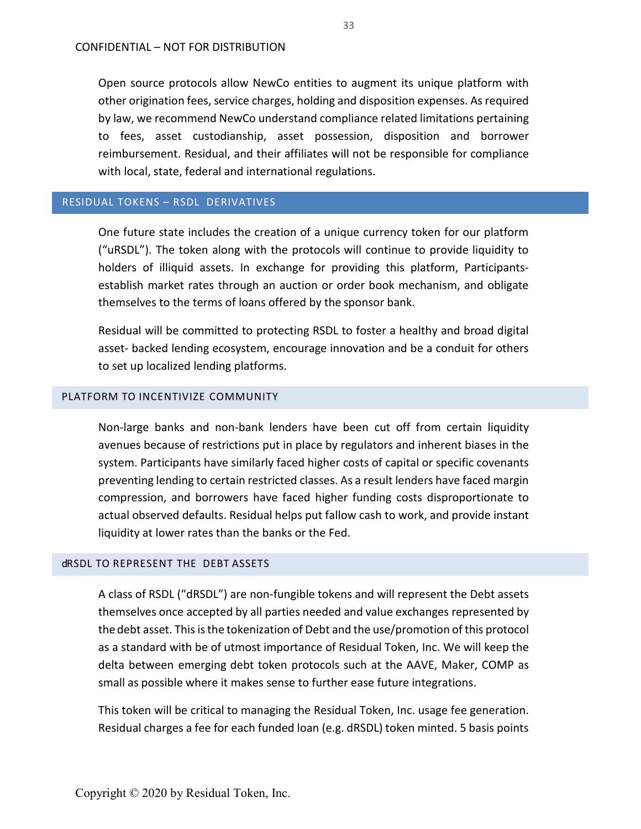Open source protocols allow NewCo entities to augment its unique platform with other origination fees, service charges, holding and disposition expenses. As required by law, we recommend NewCo understand compliance related limitations pertaining to fees, asset custodianship, asset possession, disposition and borrower reimbursement. Residual, and their affiliates will not be responsible for compliance with local, state, federal and international regulations.

## <span id="page-33-0"></span>RESIDUAL TOKENS – RSDL DERIVATIVES

One future state includes the creation of a unique currency token for our platform ("uRSDL"). The token along with the protocols will continue to provide liquidity to holders of illiquid assets. In exchange for providing this platform, Participantsestablish market rates through an auction or order book mechanism, and obligate themselves to the terms of loans offered by the sponsor bank.

Residual will be committed to protecting RSDL to foster a healthy and broad digital asset- backed lending ecosystem, encourage innovation and be a conduit for others to set up localized lending platforms.

## <span id="page-33-1"></span>PLATFORM TO INCENTIVIZE COMMUNITY

Non-large banks and non-bank lenders have been cut off from certain liquidity avenues because of restrictions put in place by regulators and inherent biases in the system. Participants have similarly faced higher costs of capital or specific covenants preventing lending to certain restricted classes. As a result lenders have faced margin compression, and borrowers have faced higher funding costs disproportionate to actual observed defaults. Residual helps put fallow cash to work, and provide instant liquidity at lower rates than the banks or the Fed.

#### <span id="page-33-2"></span>dRSDL TO REPRESENT THE DEBT ASSETS

A class of RSDL ("dRSDL") are non-fungible tokens and will represent the Debt assets themselves once accepted by all parties needed and value exchanges represented by thedebt asset. This is the tokenization of Debt and the use/promotion of this protocol as a standard with be of utmost importance of Residual Token, Inc. We will keep the delta between emerging debt token protocols such at the AAVE, Maker, COMP as small as possible where it makes sense to further ease future integrations.

This token will be critical to managing the Residual Token, Inc. usage fee generation. Residual charges a fee for each funded loan (e.g. dRSDL) token minted. 5 basis points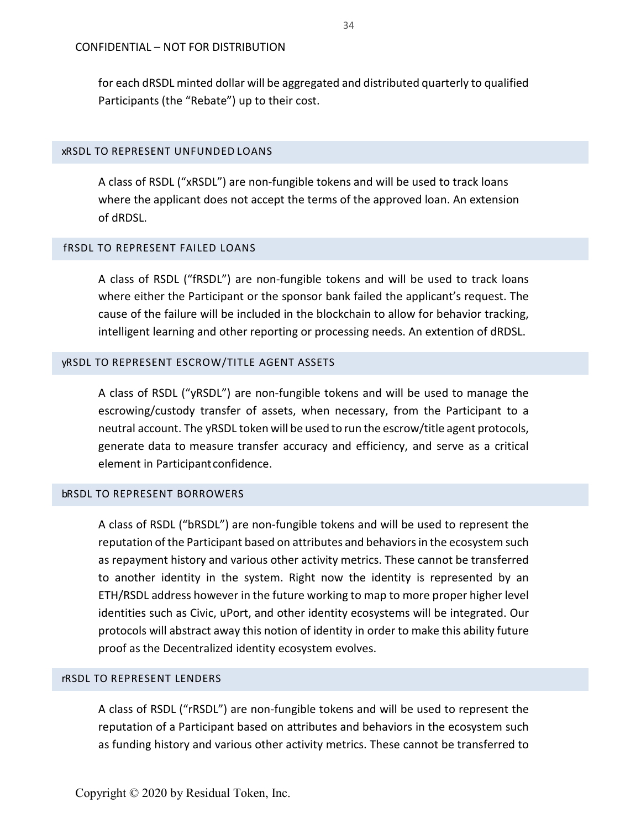for each dRSDL minted dollar will be aggregated and distributed quarterly to qualified Participants (the "Rebate") up to their cost.

## <span id="page-34-0"></span>xRSDL TO REPRESENT UNFUNDED LOANS

A class of RSDL ("xRSDL") are non-fungible tokens and will be used to track loans where the applicant does not accept the terms of the approved loan. An extension of dRDSL.

## <span id="page-34-1"></span>fRSDL TO REPRESENT FAILED LOANS

A class of RSDL ("fRSDL") are non-fungible tokens and will be used to track loans where either the Participant or the sponsor bank failed the applicant's request. The cause of the failure will be included in the blockchain to allow for behavior tracking, intelligent learning and other reporting or processing needs. An extention of dRDSL.

#### <span id="page-34-2"></span>yRSDL TO REPRESENT ESCROW/TITLE AGENT ASSETS

A class of RSDL ("yRSDL") are non-fungible tokens and will be used to manage the escrowing/custody transfer of assets, when necessary, from the Participant to a neutral account. The yRSDL token will be used to run the escrow/title agent protocols, generate data to measure transfer accuracy and efficiency, and serve as a critical element in Participantconfidence.

#### <span id="page-34-3"></span>bRSDL TO REPRESENT BORROWERS

A class of RSDL ("bRSDL") are non-fungible tokens and will be used to represent the reputation of the Participant based on attributes and behaviors in the ecosystem such as repayment history and various other activity metrics. These cannot be transferred to another identity in the system. Right now the identity is represented by an ETH/RSDL address however in the future working to map to more proper higher level identities such as Civic, uPort, and other identity ecosystems will be integrated. Our protocols will abstract away this notion of identity in order to make this ability future proof as the Decentralized identity ecosystem evolves.

#### <span id="page-34-4"></span>rRSDL TO REPRESENT LENDERS

A class of RSDL ("rRSDL") are non-fungible tokens and will be used to represent the reputation of a Participant based on attributes and behaviors in the ecosystem such as funding history and various other activity metrics. These cannot be transferred to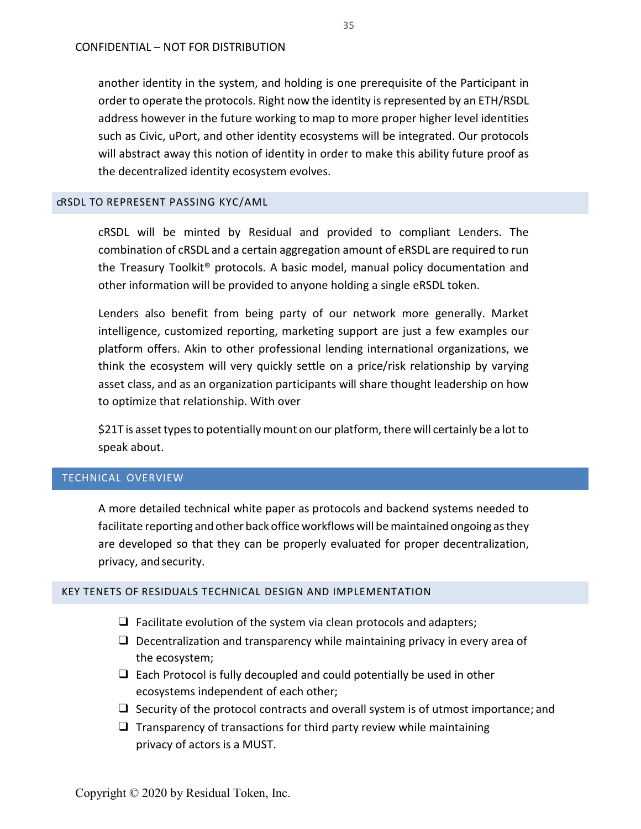another identity in the system, and holding is one prerequisite of the Participant in order to operate the protocols. Right now the identity is represented by an ETH/RSDL address however in the future working to map to more proper higher level identities such as Civic, uPort, and other identity ecosystems will be integrated. Our protocols will abstract away this notion of identity in order to make this ability future proof as the decentralized identity ecosystem evolves.

#### <span id="page-35-0"></span>cRSDL TO REPRESENT PASSING KYC/AML

cRSDL will be minted by Residual and provided to compliant Lenders. The combination of cRSDL and a certain aggregation amount of eRSDL are required to run the Treasury Toolkit® protocols. A basic model, manual policy documentation and other information will be provided to anyone holding a single eRSDL token.

Lenders also benefit from being party of our network more generally. Market intelligence, customized reporting, marketing support are just a few examples our platform offers. Akin to other professional lending international organizations, we think the ecosystem will very quickly settle on a price/risk relationship by varying asset class, and as an organization participants will share thought leadership on how to optimize that relationship. With over

\$21T is asset types to potentially mount on our platform, there will certainly be a lot to speak about.

## <span id="page-35-1"></span>TECHNICAL OVERVIEW

A more detailed technical white paper as protocols and backend systems needed to facilitate reporting and other back office workflows will bemaintained ongoing asthey are developed so that they can be properly evaluated for proper decentralization, privacy, andsecurity.

## <span id="page-35-2"></span>KEY TENETS OF RESIDUALS TECHNICAL DESIGN AND IMPLEMENTATION

- $\Box$  Facilitate evolution of the system via clean protocols and adapters;
- ❑ Decentralization and transparency while maintaining privacy in every area of the ecosystem;
- $\Box$  Each Protocol is fully decoupled and could potentially be used in other ecosystems independent of each other;
- ❑ Security of the protocol contracts and overall system is of utmost importance; and
- $\Box$  Transparency of transactions for third party review while maintaining privacy of actors is a MUST.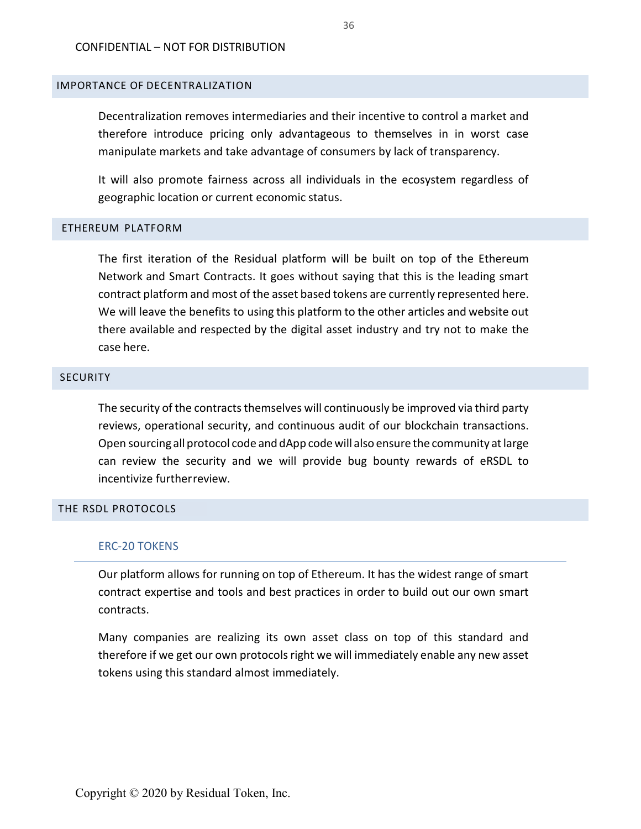## <span id="page-36-0"></span>IMPORTANCE OF DECENTRALIZATION

Decentralization removes intermediaries and their incentive to control a market and therefore introduce pricing only advantageous to themselves in in worst case manipulate markets and take advantage of consumers by lack of transparency.

It will also promote fairness across all individuals in the ecosystem regardless of geographic location or current economic status.

## <span id="page-36-1"></span>ETHEREUM PLATFORM

The first iteration of the Residual platform will be built on top of the Ethereum Network and Smart Contracts. It goes without saying that this is the leading smart contract platform and most of the asset based tokens are currently represented here. We will leave the benefits to using this platform to the other articles and website out there available and respected by the digital asset industry and try not to make the case here.

## <span id="page-36-2"></span>**SECURITY**

The security of the contracts themselves will continuously be improved via third party reviews, operational security, and continuous audit of our blockchain transactions. Open sourcing all protocol code and dApp codewill also ensure the community atlarge can review the security and we will provide bug bounty rewards of eRSDL to incentivize furtherreview.

## <span id="page-36-3"></span>THE RSDL PROTOCOLS

## ERC-20 TOKENS

Our platform allows for running on top of Ethereum. It has the widest range of smart contract expertise and tools and best practices in order to build out our own smart contracts.

Many companies are realizing its own asset class on top of this standard and therefore if we get our own protocols right we will immediately enable any new asset tokens using this standard almost immediately.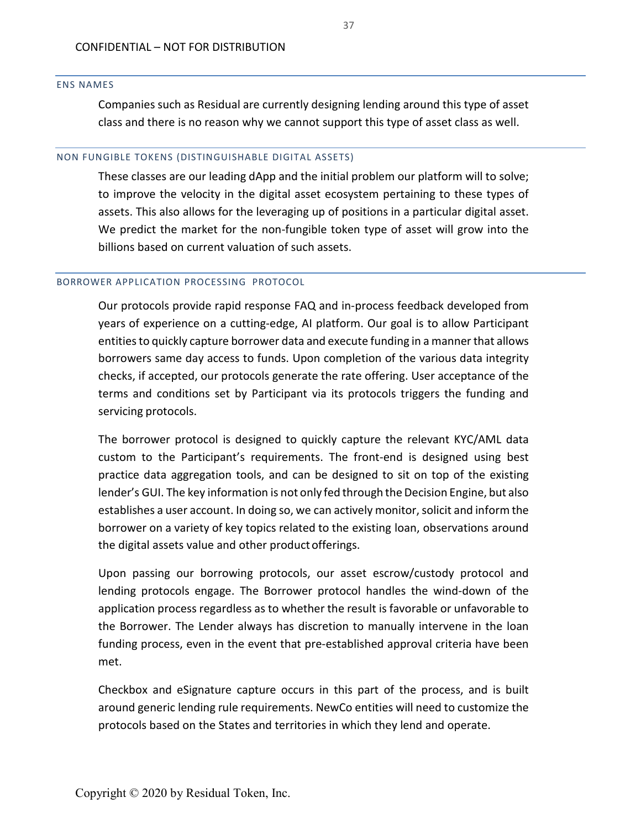#### ENS NAMES

Companies such as Residual are currently designing lending around this type of asset class and there is no reason why we cannot support this type of asset class as well.

#### NON FUNGIBLE TOKENS (DISTINGUISHABLE DIGITAL ASSETS)

These classes are our leading dApp and the initial problem our platform will to solve; to improve the velocity in the digital asset ecosystem pertaining to these types of assets. This also allows for the leveraging up of positions in a particular digital asset. We predict the market for the non-fungible token type of asset will grow into the billions based on current valuation of such assets.

#### BORROWER APPLICATION PROCESSING PROTOCOL

Our protocols provide rapid response FAQ and in-process feedback developed from years of experience on a cutting-edge, AI platform. Our goal is to allow Participant entities to quickly capture borrower data and execute funding in a manner that allows borrowers same day access to funds. Upon completion of the various data integrity checks, if accepted, our protocols generate the rate offering. User acceptance of the terms and conditions set by Participant via its protocols triggers the funding and servicing protocols.

The borrower protocol is designed to quickly capture the relevant KYC/AML data custom to the Participant's requirements. The front-end is designed using best practice data aggregation tools, and can be designed to sit on top of the existing lender's GUI. The key information is not only fed through the Decision Engine, but also establishes a user account. In doing so, we can actively monitor, solicit and inform the borrower on a variety of key topics related to the existing loan, observations around the digital assets value and other productofferings.

Upon passing our borrowing protocols, our asset escrow/custody protocol and lending protocols engage. The Borrower protocol handles the wind-down of the application process regardless as to whether the result is favorable or unfavorable to the Borrower. The Lender always has discretion to manually intervene in the loan funding process, even in the event that pre-established approval criteria have been met.

Checkbox and eSignature capture occurs in this part of the process, and is built around generic lending rule requirements. NewCo entities will need to customize the protocols based on the States and territories in which they lend and operate.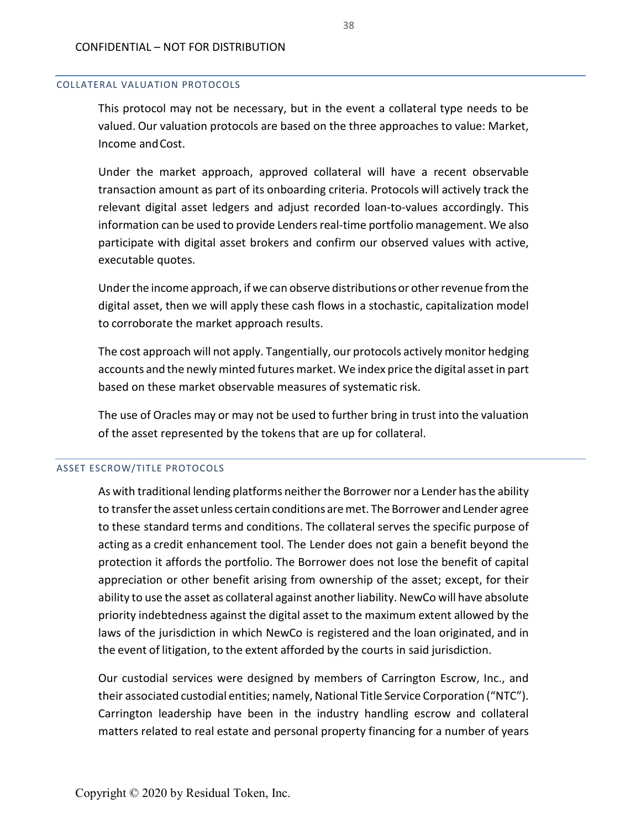#### COLLATERAL VALUATION PROTOCOLS

This protocol may not be necessary, but in the event a collateral type needs to be valued. Our valuation protocols are based on the three approaches to value: Market, Income andCost.

Under the market approach, approved collateral will have a recent observable transaction amount as part of its onboarding criteria. Protocols will actively track the relevant digital asset ledgers and adjust recorded loan-to-values accordingly. This information can be used to provide Lenders real-time portfolio management. We also participate with digital asset brokers and confirm our observed values with active, executable quotes.

Under the income approach, if we can observe distributions or other revenue from the digital asset, then we will apply these cash flows in a stochastic, capitalization model to corroborate the market approach results.

The cost approach will not apply. Tangentially, our protocols actively monitor hedging accounts and the newly minted futures market. We index price the digital asset in part based on these market observable measures of systematic risk.

The use of Oracles may or may not be used to further bring in trust into the valuation of the asset represented by the tokens that are up for collateral.

#### ASSET ESCROW/TITLE PROTOCOLS

As with traditional lending platforms neither the Borrower nor a Lender has the ability to transferthe asset unless certain conditions aremet. The Borrower and Lender agree to these standard terms and conditions. The collateral serves the specific purpose of acting as a credit enhancement tool. The Lender does not gain a benefit beyond the protection it affords the portfolio. The Borrower does not lose the benefit of capital appreciation or other benefit arising from ownership of the asset; except, for their ability to use the asset as collateral against another liability. NewCo will have absolute priority indebtedness against the digital asset to the maximum extent allowed by the laws of the jurisdiction in which NewCo is registered and the loan originated, and in the event of litigation, to the extent afforded by the courts in said jurisdiction.

Our custodial services were designed by members of Carrington Escrow, Inc., and their associated custodial entities; namely, National Title Service Corporation ("NTC"). Carrington leadership have been in the industry handling escrow and collateral matters related to real estate and personal property financing for a number of years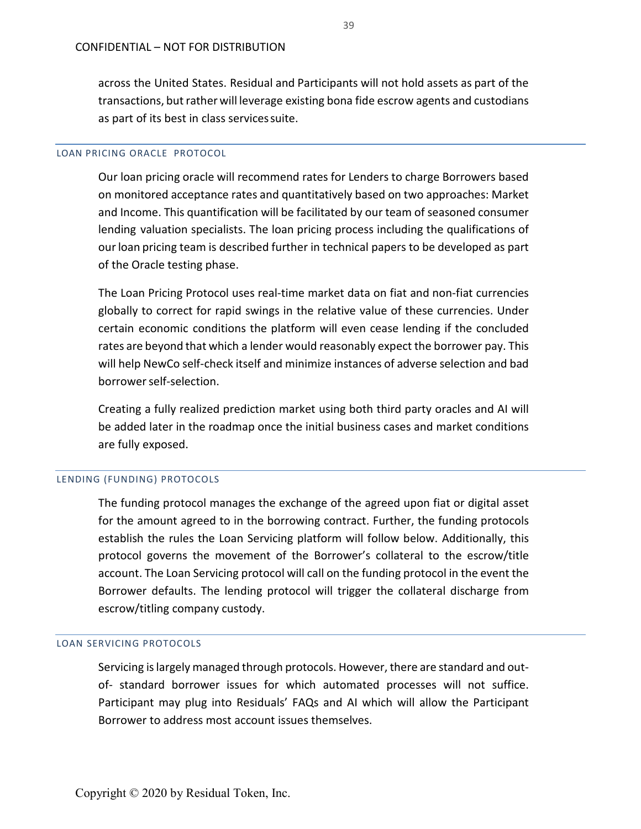across the United States. Residual and Participants will not hold assets as part of the transactions, but rather will leverage existing bona fide escrow agents and custodians as part of its best in class servicessuite.

#### LOAN PRICING ORACLE PROTOCOL

Our loan pricing oracle will recommend rates for Lenders to charge Borrowers based on monitored acceptance rates and quantitatively based on two approaches: Market and Income. This quantification will be facilitated by our team of seasoned consumer lending valuation specialists. The loan pricing process including the qualifications of our loan pricing team is described further in technical papers to be developed as part of the Oracle testing phase.

The Loan Pricing Protocol uses real-time market data on fiat and non-fiat currencies globally to correct for rapid swings in the relative value of these currencies. Under certain economic conditions the platform will even cease lending if the concluded rates are beyond that which a lender would reasonably expect the borrower pay. This will help NewCo self-check itself and minimize instances of adverse selection and bad borrowerself-selection.

Creating a fully realized prediction market using both third party oracles and AI will be added later in the roadmap once the initial business cases and market conditions are fully exposed.

#### LENDING (FUNDING) PROTOCOLS

The funding protocol manages the exchange of the agreed upon fiat or digital asset for the amount agreed to in the borrowing contract. Further, the funding protocols establish the rules the Loan Servicing platform will follow below. Additionally, this protocol governs the movement of the Borrower's collateral to the escrow/title account. The Loan Servicing protocol will call on the funding protocol in the event the Borrower defaults. The lending protocol will trigger the collateral discharge from escrow/titling company custody.

#### LOAN SERVICING PROTOCOLS

Servicing is largely managed through protocols. However, there are standard and outof- standard borrower issues for which automated processes will not suffice. Participant may plug into Residuals' FAQs and AI which will allow the Participant Borrower to address most account issues themselves.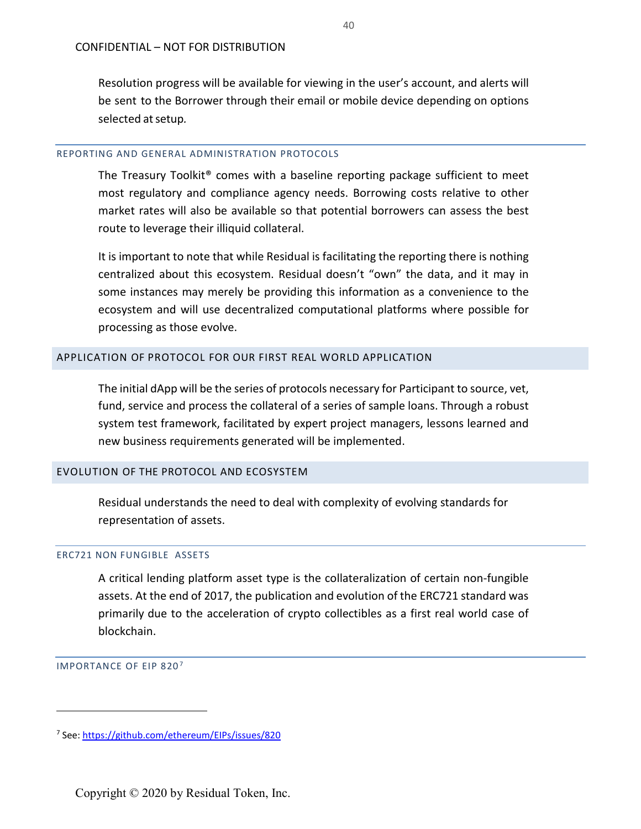Resolution progress will be available for viewing in the user's account, and alerts will be sent to the Borrower through their email or mobile device depending on options selected atsetup*.*

## REPORTING AND GENERAL ADMINISTRATION PROTOCOLS

The Treasury Toolkit® comes with a baseline reporting package sufficient to meet most regulatory and compliance agency needs. Borrowing costs relative to other market rates will also be available so that potential borrowers can assess the best route to leverage their illiquid collateral.

It is important to note that while Residual is facilitating the reporting there is nothing centralized about this ecosystem. Residual doesn't "own" the data, and it may in some instances may merely be providing this information as a convenience to the ecosystem and will use decentralized computational platforms where possible for processing as those evolve.

## <span id="page-40-0"></span>APPLICATION OF PROTOCOL FOR OUR FIRST REAL WORLD APPLICATION

The initial dApp will be the series of protocols necessary for Participant to source, vet, fund, service and process the collateral of a series of sample loans. Through a robust system test framework, facilitated by expert project managers, lessons learned and new business requirements generated will be implemented.

## <span id="page-40-1"></span>EVOLUTION OF THE PROTOCOL AND ECOSYSTEM

Residual understands the need to deal with complexity of evolving standards for representation of assets.

#### ERC721 NON FUNGIBLE ASSETS

A critical lending platform asset type is the collateralization of certain non-fungible assets. At the end of 2017, the publication and evolution of the ERC721 standard was primarily due to the acceleration of crypto collectibles as a first real world case of blockchain.

#### IMPORTANCE OF EIP 820<sup>[7](#page-40-2)</sup>

 $\overline{a}$ 

<span id="page-40-2"></span><sup>7</sup> See:<https://github.com/ethereum/EIPs/issues/820>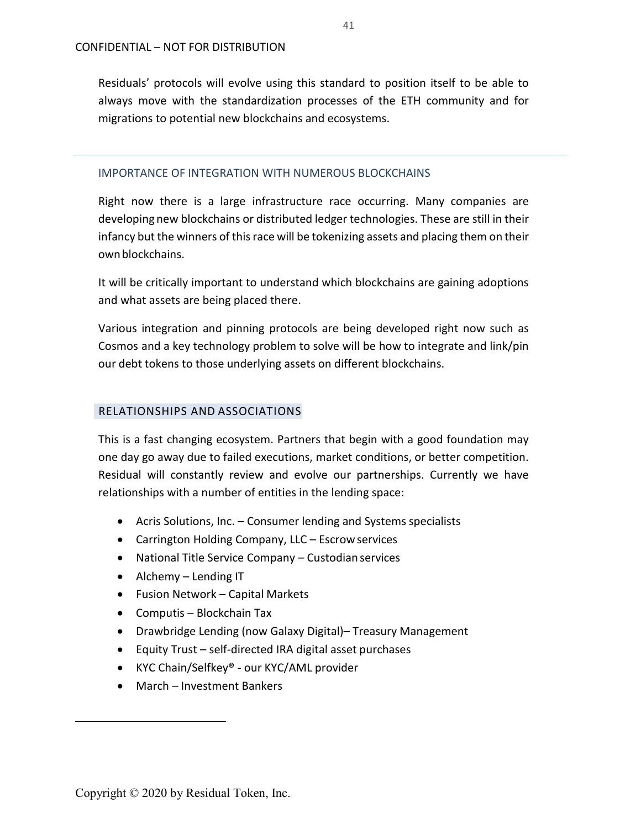Residuals' protocols will evolve using this standard to position itself to be able to always move with the standardization processes of the ETH community and for migrations to potential new blockchains and ecosystems.

#### IMPORTANCE OF INTEGRATION WITH NUMEROUS BLOCKCHAINS

Right now there is a large infrastructure race occurring. Many companies are developing new blockchains or distributed ledger technologies. These are still in their infancy but the winners of this race will be tokenizing assets and placing them on their ownblockchains.

It will be critically important to understand which blockchains are gaining adoptions and what assets are being placed there.

Various integration and pinning protocols are being developed right now such as Cosmos and a key technology problem to solve will be how to integrate and link/pin our debt tokens to those underlying assets on different blockchains.

## RELATIONSHIPS AND ASSOCIATIONS

This is a fast changing ecosystem. Partners that begin with a good foundation may one day go away due to failed executions, market conditions, or better competition. Residual will constantly review and evolve our partnerships. Currently we have relationships with a number of entities in the lending space:

- Acris Solutions, Inc. Consumer lending and Systems specialists
- Carrington Holding Company, LLC Escrow services
- National Title Service Company Custodian services
- Alchemy Lending IT
- Fusion Network Capital Markets
- Computis Blockchain Tax
- Drawbridge Lending (now Galaxy Digital)– Treasury Management
- Equity Trust self-directed IRA digital asset purchases
- KYC Chain/Selfkey® our KYC/AML provider
- March Investment Bankers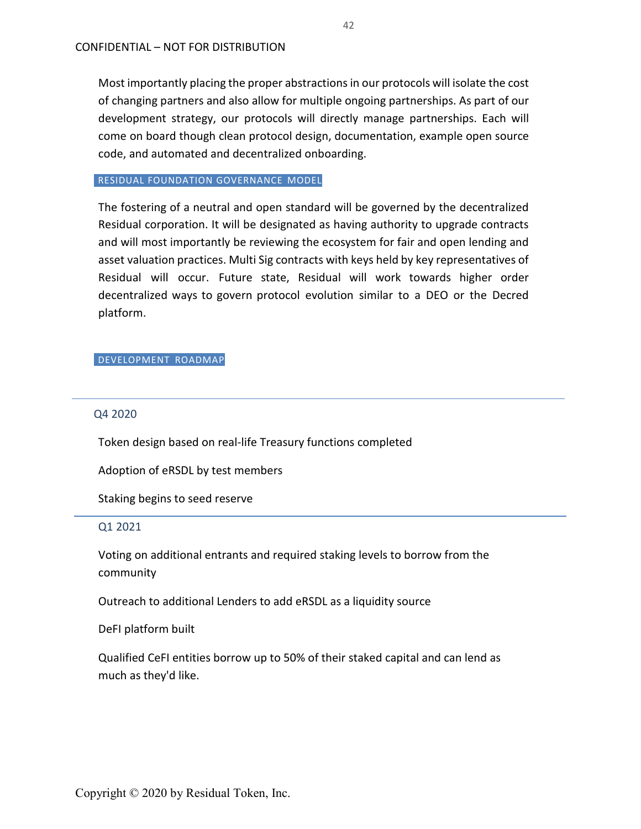Most importantly placing the proper abstractions in our protocols will isolate the cost of changing partners and also allow for multiple ongoing partnerships. As part of our development strategy, our protocols will directly manage partnerships. Each will come on board though clean protocol design, documentation, example open source code, and automated and decentralized onboarding.

#### RESIDUAL FOUNDATION GOVERNANCE MODEL

The fostering of a neutral and open standard will be governed by the decentralized Residual corporation. It will be designated as having authority to upgrade contracts and will most importantly be reviewing the ecosystem for fair and open lending and asset valuation practices. Multi Sig contracts with keys held by key representatives of Residual will occur. Future state, Residual will work towards higher order decentralized ways to govern protocol evolution similar to a DEO or the Decred platform.

#### DEVELOPMENT ROADMAP

## Q4 2020

Token design based on real-life Treasury functions completed

Adoption of eRSDL by test members

Staking begins to seed reserve

## Q1 2021

Voting on additional entrants and required staking levels to borrow from the community

Outreach to additional Lenders to add eRSDL as a liquidity source

DeFI platform built

Qualified CeFI entities borrow up to 50% of their staked capital and can lend as much as they'd like.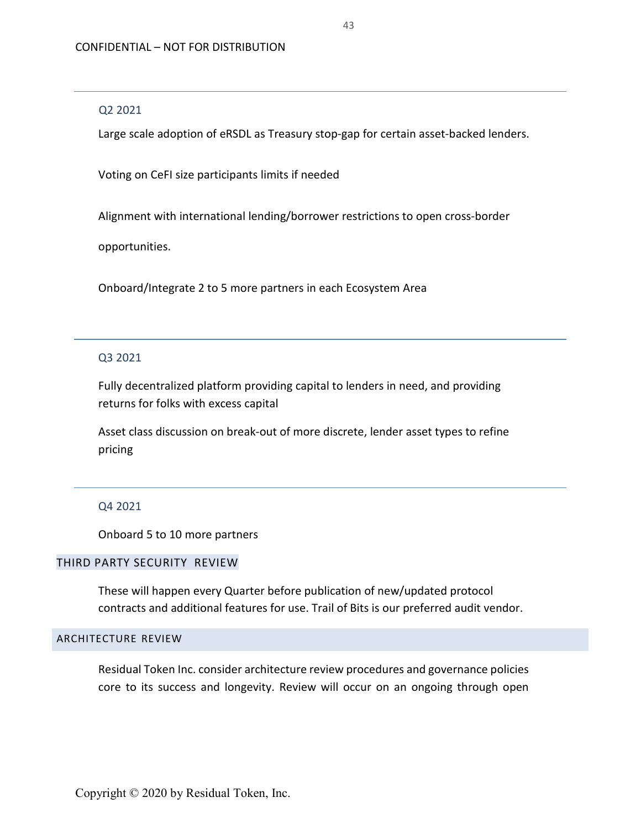#### Q2 2021

Large scale adoption of eRSDL as Treasury stop-gap for certain asset-backed lenders.

Voting on CeFI size participants limits if needed

Alignment with international lending/borrower restrictions to open cross-border

opportunities.

Onboard/Integrate 2 to 5 more partners in each Ecosystem Area

## Q3 2021

Fully decentralized platform providing capital to lenders in need, and providing returns for folks with excess capital

Asset class discussion on break-out of more discrete, lender asset types to refine pricing

## Q4 2021

Onboard 5 to 10 more partners

## THIRD PARTY SECURITY REVIEW

These will happen every Quarter before publication of new/updated protocol contracts and additional features for use. Trail of Bits is our preferred audit vendor.

## <span id="page-43-0"></span>ARCHITECTURE REVIEW

Residual Token Inc. consider architecture review procedures and governance policies core to its success and longevity. Review will occur on an ongoing through open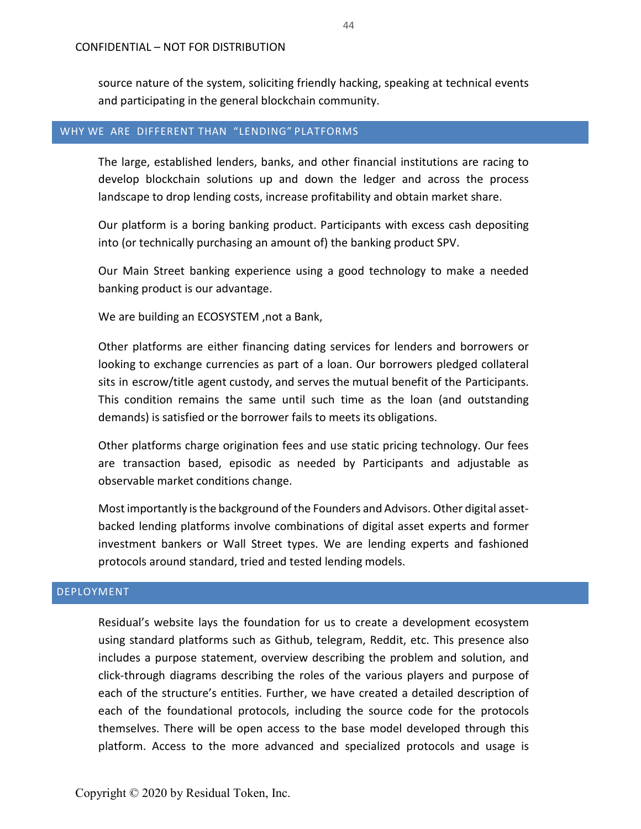source nature of the system, soliciting friendly hacking, speaking at technical events and participating in the general blockchain community.

## <span id="page-44-0"></span>WHY WE ARE DIFFERENT THAN "LENDING" PLATFORMS

The large, established lenders, banks, and other financial institutions are racing to develop blockchain solutions up and down the ledger and across the process landscape to drop lending costs, increase profitability and obtain market share.

Our platform is a boring banking product. Participants with excess cash depositing into (or technically purchasing an amount of) the banking product SPV.

Our Main Street banking experience using a good technology to make a needed banking product is our advantage.

We are building an ECOSYSTEM ,not a Bank,

Other platforms are either financing dating services for lenders and borrowers or looking to exchange currencies as part of a loan. Our borrowers pledged collateral sits in escrow/title agent custody, and serves the mutual benefit of the Participants. This condition remains the same until such time as the loan (and outstanding demands) is satisfied or the borrower fails to meets its obligations.

Other platforms charge origination fees and use static pricing technology. Our fees are transaction based, episodic as needed by Participants and adjustable as observable market conditions change.

Most importantly isthe background of the Founders and Advisors. Other digital assetbacked lending platforms involve combinations of digital asset experts and former investment bankers or Wall Street types. We are lending experts and fashioned protocols around standard, tried and tested lending models.

#### <span id="page-44-1"></span>DEPLOYMENT

Residual's website lays the foundation for us to create a development ecosystem using standard platforms such as Github, telegram, Reddit, etc. This presence also includes a purpose statement, overview describing the problem and solution, and click-through diagrams describing the roles of the various players and purpose of each of the structure's entities. Further, we have created a detailed description of each of the foundational protocols, including the source code for the protocols themselves. There will be open access to the base model developed through this platform. Access to the more advanced and specialized protocols and usage is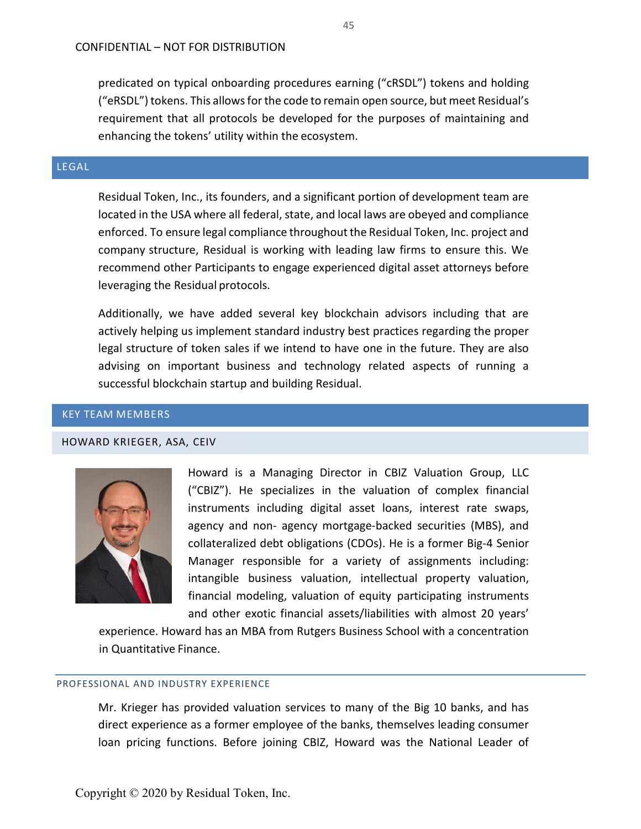predicated on typical onboarding procedures earning ("cRSDL") tokens and holding ("eRSDL") tokens. This allows for the code to remain open source, but meet Residual's requirement that all protocols be developed for the purposes of maintaining and enhancing the tokens' utility within the ecosystem.

## <span id="page-45-0"></span>LEGAL

Residual Token, Inc., its founders, and a significant portion of development team are located in the USA where all federal, state, and local laws are obeyed and compliance enforced. To ensure legal compliance throughout the Residual Token, Inc. project and company structure, Residual is working with leading law firms to ensure this. We recommend other Participants to engage experienced digital asset attorneys before leveraging the Residual protocols.

Additionally, we have added several key blockchain advisors including that are actively helping us implement standard industry best practices regarding the proper legal structure of token sales if we intend to have one in the future. They are also advising on important business and technology related aspects of running a successful blockchain startup and building Residual.

## <span id="page-45-1"></span>KEY TEAM MEMBERS

#### <span id="page-45-2"></span>HOWARD KRIEGER, ASA, CEIV



Howard is a Managing Director in CBIZ Valuation Group, LLC ("CBIZ"). He specializes in the valuation of complex financial instruments including digital asset loans, interest rate swaps, agency and non- agency mortgage-backed securities (MBS), and collateralized debt obligations (CDOs). He is a former Big-4 Senior Manager responsible for a variety of assignments including: intangible business valuation, intellectual property valuation, financial modeling, valuation of equity participating instruments and other exotic financial assets/liabilities with almost 20 years'

experience. Howard has an MBA from Rutgers Business School with a concentration in Quantitative Finance.

#### PROFESSIONAL AND INDUSTRY EXPERIENCE

Mr. Krieger has provided valuation services to many of the Big 10 banks, and has direct experience as a former employee of the banks, themselves leading consumer loan pricing functions. Before joining CBIZ, Howard was the National Leader of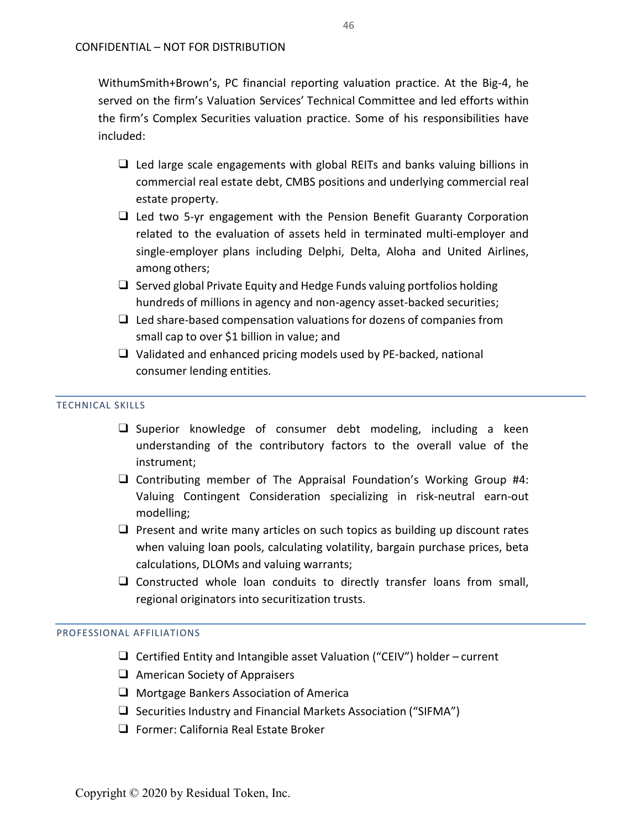WithumSmith+Brown's, PC financial reporting valuation practice. At the Big-4, he served on the firm's Valuation Services' Technical Committee and led efforts within the firm's Complex Securities valuation practice. Some of his responsibilities have included:

- ❑ Led large scale engagements with global REITs and banks valuing billions in commercial real estate debt, CMBS positions and underlying commercial real estate property.
- ❑ Led two 5-yr engagement with the Pension Benefit Guaranty Corporation related to the evaluation of assets held in terminated multi-employer and single-employer plans including Delphi, Delta, Aloha and United Airlines, among others;
- $\Box$  Served global Private Equity and Hedge Funds valuing portfolios holding hundreds of millions in agency and non-agency asset-backed securities;
- $\Box$  Led share-based compensation valuations for dozens of companies from small cap to over \$1 billion in value; and
- ❑ Validated and enhanced pricing models used by PE-backed, national consumer lending entities.

#### TECHNICAL SKILLS

- ❑ Superior knowledge of consumer debt modeling, including a keen understanding of the contributory factors to the overall value of the instrument;
- ❑ Contributing member of The Appraisal Foundation's Working Group #4: Valuing Contingent Consideration specializing in risk-neutral earn-out modelling;
- ❑ Present and write many articles on such topics as building up discount rates when valuing loan pools, calculating volatility, bargain purchase prices, beta calculations, DLOMs and valuing warrants;
- ❑ Constructed whole loan conduits to directly transfer loans from small, regional originators into securitization trusts.

#### PROFESSIONAL AFFILIATIONS

- ❑ Certified Entity and Intangible asset Valuation ("CEIV") holder current
- ❑ American Society of Appraisers
- ❑ Mortgage Bankers Association of America
- ❑ Securities Industry and Financial Markets Association ("SIFMA")
- ❑ Former: California Real Estate Broker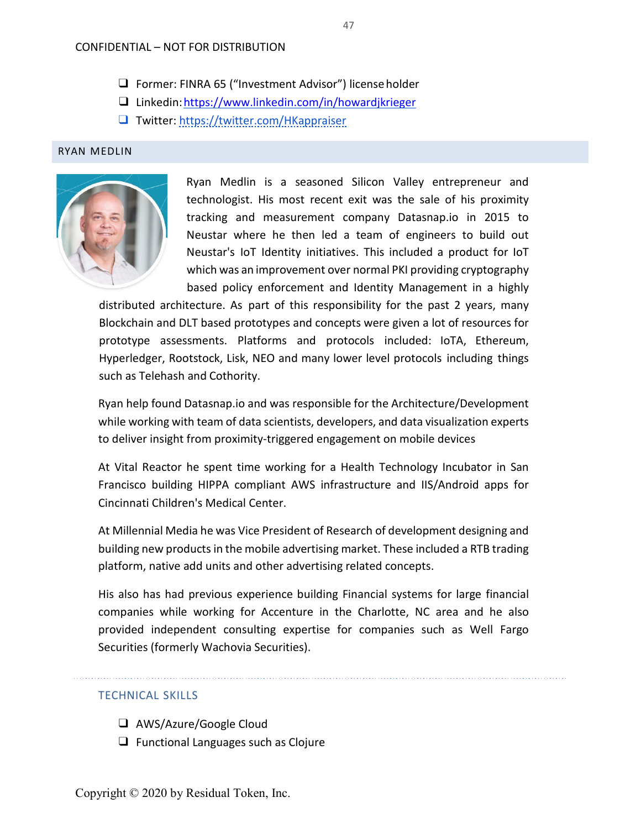## CONFIDENTIAL – NOT FOR DISTRIBUTION

- ❑ Former: FINRA 65 ("Investment Advisor") licenseholder
- ❑ Linkedin[:https://www.linkedin.com/in/howardjkrieger](https://www.linkedin.com/in/howardjkrieger)
- ❑ Twitter: <https://twitter.com/HKappraiser>

#### <span id="page-47-0"></span>RYAN MEDLIN



Ryan Medlin is a seasoned Silicon Valley entrepreneur and technologist. His most recent exit was the sale of his proximity tracking and measurement company Datasnap.io in 2015 to Neustar where he then led a team of engineers to build out Neustar's IoT Identity initiatives. This included a product for IoT which was an improvement over normal PKI providing cryptography based policy enforcement and Identity Management in a highly

distributed architecture. As part of this responsibility for the past 2 years, many Blockchain and DLT based prototypes and concepts were given a lot of resources for prototype assessments. Platforms and protocols included: IoTA, Ethereum, Hyperledger, Rootstock, Lisk, NEO and many lower level protocols including things such as Telehash and Cothority.

Ryan help found Datasnap.io and was responsible for the Architecture/Development while working with team of data scientists, developers, and data visualization experts to deliver insight from proximity-triggered engagement on mobile devices

At Vital Reactor he spent time working for a Health Technology Incubator in San Francisco building HIPPA compliant AWS infrastructure and IIS/Android apps for Cincinnati Children's Medical Center.

At Millennial Media he was Vice President of Research of development designing and building new products in the mobile advertising market. These included a RTB trading platform, native add units and other advertising related concepts.

His also has had previous experience building Financial systems for large financial companies while working for Accenture in the Charlotte, NC area and he also provided independent consulting expertise for companies such as Well Fargo Securities (formerly Wachovia Securities).

#### TECHNICAL SKILLS

- ❑ AWS/Azure/Google Cloud
- ❑ Functional Languages such as Clojure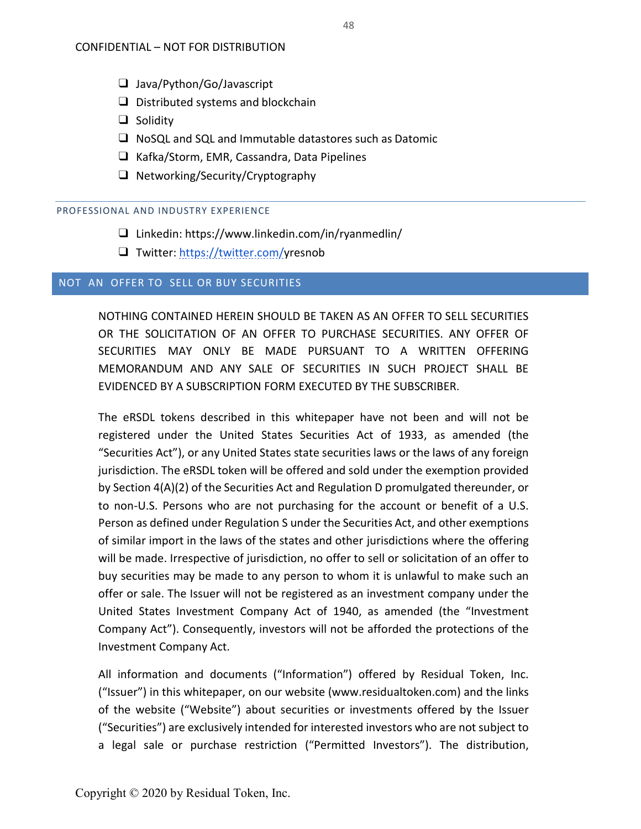- ❑ Java/Python/Go/Javascript
- $\Box$  Distributed systems and blockchain
- ❑ Solidity
- ❑ NoSQL and SQL and Immutable datastores such as Datomic
- ❑ Kafka/Storm, EMR, Cassandra, Data Pipelines
- ❑ Networking/Security/Cryptography

#### PROFESSIONAL AND INDUSTRY EXPERIENCE

- ❑ Linkedin: https:/[/www.linkedin.com/in/ryanmedlin/](http://www.linkedin.com/in/ryanmedlin/)
- ❑ Twitter: [https://twitter.com/y](https://twitter.com/HKappraiser)resnob

## <span id="page-48-0"></span>NOT AN OFFER TO SELL OR BUY SECURITIES

NOTHING CONTAINED HEREIN SHOULD BE TAKEN AS AN OFFER TO SELL SECURITIES OR THE SOLICITATION OF AN OFFER TO PURCHASE SECURITIES. ANY OFFER OF SECURITIES MAY ONLY BE MADE PURSUANT TO A WRITTEN OFFERING MEMORANDUM AND ANY SALE OF SECURITIES IN SUCH PROJECT SHALL BE EVIDENCED BY A SUBSCRIPTION FORM EXECUTED BY THE SUBSCRIBER.

The eRSDL tokens described in this whitepaper have not been and will not be registered under the United States Securities Act of 1933, as amended (the "Securities Act"), or any United States state securities laws or the laws of any foreign jurisdiction. The eRSDL token will be offered and sold under the exemption provided by Section 4(A)(2) of the Securities Act and Regulation D promulgated thereunder, or to non-U.S. Persons who are not purchasing for the account or benefit of a U.S. Person as defined under Regulation S under the Securities Act, and other exemptions of similar import in the laws of the states and other jurisdictions where the offering will be made. Irrespective of jurisdiction, no offer to sell or solicitation of an offer to buy securities may be made to any person to whom it is unlawful to make such an offer or sale. The Issuer will not be registered as an investment company under the United States Investment Company Act of 1940, as amended (the "Investment Company Act"). Consequently, investors will not be afforded the protections of the Investment Company Act.

All information and documents ("Information") offered by Residual Token, Inc. ("Issuer") in this whitepaper, on our website (www.residualtoken.com) and the links of the website ("Website") about securities or investments offered by the Issuer ("Securities") are exclusively intended for interested investors who are not subject to a legal sale or purchase restriction ("Permitted Investors"). The distribution,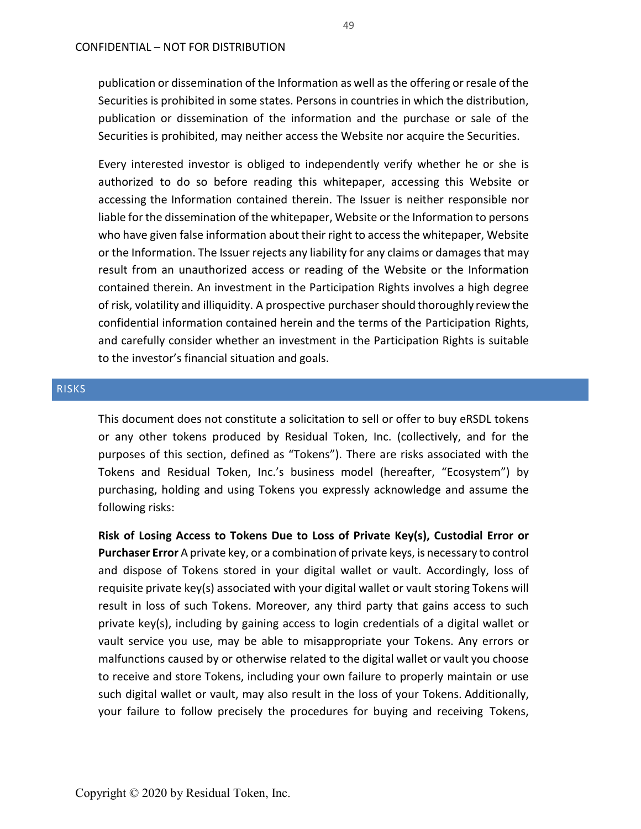publication or dissemination of the Information as well as the offering or resale of the Securities is prohibited in some states. Persons in countries in which the distribution, publication or dissemination of the information and the purchase or sale of the Securities is prohibited, may neither access the Website nor acquire the Securities.

Every interested investor is obliged to independently verify whether he or she is authorized to do so before reading this whitepaper, accessing this Website or accessing the Information contained therein. The Issuer is neither responsible nor liable for the dissemination of the whitepaper, Website or the Information to persons who have given false information about their right to access the whitepaper, Website or the Information. The Issuer rejects any liability for any claims or damages that may result from an unauthorized access or reading of the Website or the Information contained therein. An investment in the Participation Rights involves a high degree of risk, volatility and illiquidity. A prospective purchaser should thoroughly review the confidential information contained herein and the terms of the Participation Rights, and carefully consider whether an investment in the Participation Rights is suitable to the investor's financial situation and goals.

#### <span id="page-49-0"></span>RISKS

This document does not constitute a solicitation to sell or offer to buy eRSDL tokens or any other tokens produced by Residual Token, Inc. (collectively, and for the purposes of this section, defined as "Tokens"). There are risks associated with the Tokens and Residual Token, Inc.'s business model (hereafter, "Ecosystem") by purchasing, holding and using Tokens you expressly acknowledge and assume the following risks:

**Risk of Losing Access to Tokens Due to Loss of Private Key(s), Custodial Error or Purchaser Error** A private key, or a combination of private keys, is necessary to control and dispose of Tokens stored in your digital wallet or vault. Accordingly, loss of requisite private key(s) associated with your digital wallet or vault storing Tokens will result in loss of such Tokens. Moreover, any third party that gains access to such private key(s), including by gaining access to login credentials of a digital wallet or vault service you use, may be able to misappropriate your Tokens. Any errors or malfunctions caused by or otherwise related to the digital wallet or vault you choose to receive and store Tokens, including your own failure to properly maintain or use such digital wallet or vault, may also result in the loss of your Tokens. Additionally, your failure to follow precisely the procedures for buying and receiving Tokens,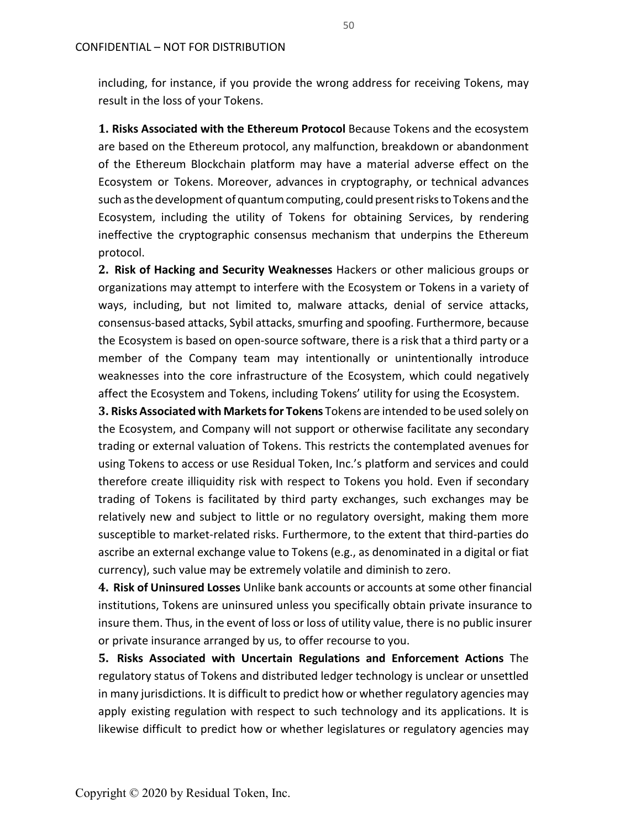including, for instance, if you provide the wrong address for receiving Tokens, may result in the loss of your Tokens.

**1. Risks Associated with the Ethereum Protocol** Because Tokens and the ecosystem are based on the Ethereum protocol, any malfunction, breakdown or abandonment of the Ethereum Blockchain platform may have a material adverse effect on the Ecosystem or Tokens. Moreover, advances in cryptography, or technical advances such as the development of quantum computing, could present risks to Tokens and the Ecosystem, including the utility of Tokens for obtaining Services, by rendering ineffective the cryptographic consensus mechanism that underpins the Ethereum protocol.

**2. Risk of Hacking and Security Weaknesses** Hackers or other malicious groups or organizations may attempt to interfere with the Ecosystem or Tokens in a variety of ways, including, but not limited to, malware attacks, denial of service attacks, consensus-based attacks, Sybil attacks, smurfing and spoofing. Furthermore, because the Ecosystem is based on open-source software, there is a risk that a third party or a member of the Company team may intentionally or unintentionally introduce weaknesses into the core infrastructure of the Ecosystem, which could negatively affect the Ecosystem and Tokens, including Tokens' utility for using the Ecosystem.

**3. Risks Associated with Marketsfor Tokens** Tokens are intended to be used solely on the Ecosystem, and Company will not support or otherwise facilitate any secondary trading or external valuation of Tokens. This restricts the contemplated avenues for using Tokens to access or use Residual Token, Inc.'s platform and services and could therefore create illiquidity risk with respect to Tokens you hold. Even if secondary trading of Tokens is facilitated by third party exchanges, such exchanges may be relatively new and subject to little or no regulatory oversight, making them more susceptible to market-related risks. Furthermore, to the extent that third-parties do ascribe an external exchange value to Tokens (e.g., as denominated in a digital or fiat currency), such value may be extremely volatile and diminish to zero.

**4. Risk of Uninsured Losses** Unlike bank accounts or accounts at some other financial institutions, Tokens are uninsured unless you specifically obtain private insurance to insure them. Thus, in the event of loss or loss of utility value, there is no public insurer or private insurance arranged by us, to offer recourse to you.

**5. Risks Associated with Uncertain Regulations and Enforcement Actions** The regulatory status of Tokens and distributed ledger technology is unclear or unsettled in many jurisdictions. It is difficult to predict how or whether regulatory agencies may apply existing regulation with respect to such technology and its applications. It is likewise difficult to predict how or whether legislatures or regulatory agencies may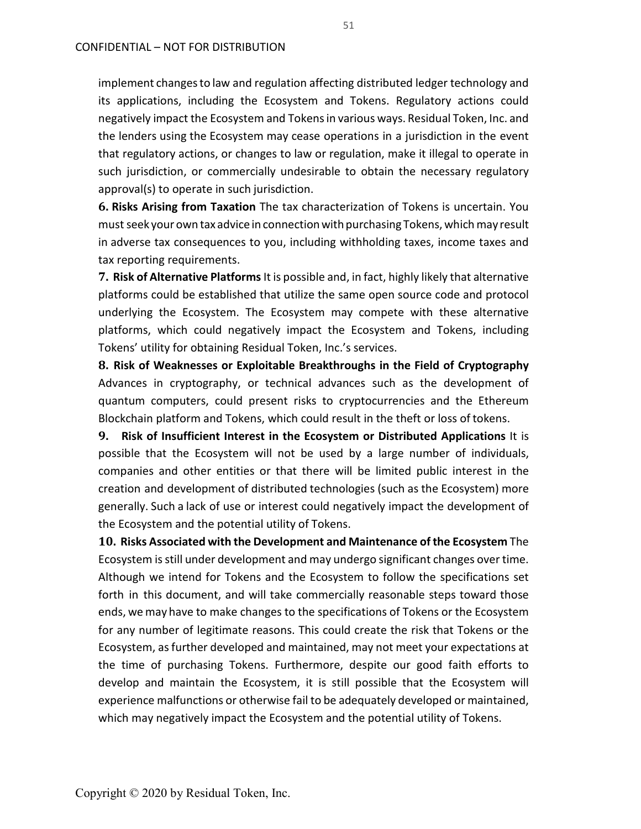implement changesto law and regulation affecting distributed ledger technology and its applications, including the Ecosystem and Tokens. Regulatory actions could negatively impact the Ecosystem and Tokensin various ways. Residual Token, Inc. and the lenders using the Ecosystem may cease operations in a jurisdiction in the event that regulatory actions, or changes to law or regulation, make it illegal to operate in such jurisdiction, or commercially undesirable to obtain the necessary regulatory approval(s) to operate in such jurisdiction.

**6. Risks Arising from Taxation** The tax characterization of Tokens is uncertain. You must seek your own tax advice in connection with purchasing Tokens, which may result in adverse tax consequences to you, including withholding taxes, income taxes and tax reporting requirements.

**7. Risk of Alternative Platforms** It is possible and, in fact, highly likely that alternative platforms could be established that utilize the same open source code and protocol underlying the Ecosystem. The Ecosystem may compete with these alternative platforms, which could negatively impact the Ecosystem and Tokens, including Tokens' utility for obtaining Residual Token, Inc.'s services.

**8. Risk of Weaknesses or Exploitable Breakthroughs in the Field of Cryptography**  Advances in cryptography, or technical advances such as the development of quantum computers, could present risks to cryptocurrencies and the Ethereum Blockchain platform and Tokens, which could result in the theft or loss of tokens.

**9. Risk of Insufficient Interest in the Ecosystem or Distributed Applications** It is possible that the Ecosystem will not be used by a large number of individuals, companies and other entities or that there will be limited public interest in the creation and development of distributed technologies (such as the Ecosystem) more generally. Such a lack of use or interest could negatively impact the development of the Ecosystem and the potential utility of Tokens.

**10. Risks Associated with the Development and Maintenance of the Ecosystem** The Ecosystem is still under development and may undergo significant changes over time. Although we intend for Tokens and the Ecosystem to follow the specifications set forth in this document, and will take commercially reasonable steps toward those ends, we may have to make changes to the specifications of Tokens or the Ecosystem for any number of legitimate reasons. This could create the risk that Tokens or the Ecosystem, as further developed and maintained, may not meet your expectations at the time of purchasing Tokens. Furthermore, despite our good faith efforts to develop and maintain the Ecosystem, it is still possible that the Ecosystem will experience malfunctions or otherwise fail to be adequately developed or maintained, which may negatively impact the Ecosystem and the potential utility of Tokens.